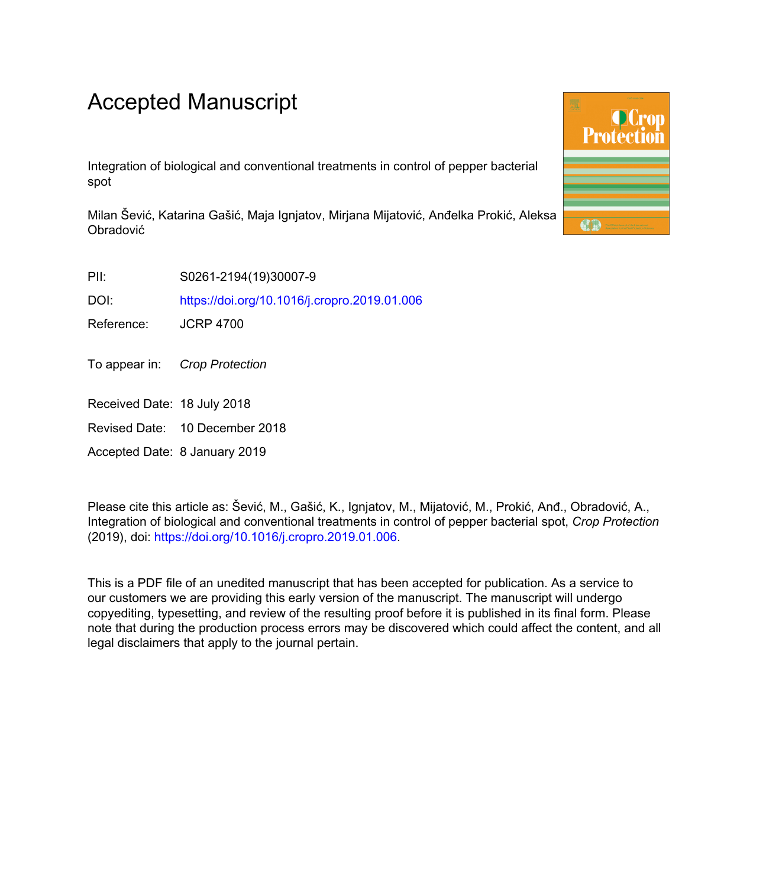# Accepted Manuscript

Integration of biological and conventional treatments in control of pepper bacterial spot

Milan Šević, Katarina Gašić, Maja Ignjatov, Mirjana Mijatović, Anđelka Prokić, Aleksa Obradović

PII: S0261-2194(19)30007-9

DOI: <https://doi.org/10.1016/j.cropro.2019.01.006>

Reference: JCRP 4700

To appear in: Crop Protection

Received Date: 18 July 2018

Revised Date: 10 December 2018

Accepted Date: 8 January 2019

Please cite this article as: Šević, M., Gašić, K., Ignjatov, M., Mijatović, M., Prokić, Anđ., Obradović, A., Integration of biological and conventional treatments in control of pepper bacterial spot, *Crop Protection* (2019), doi:<https://doi.org/10.1016/j.cropro.2019.01.006>.

This is a PDF file of an unedited manuscript that has been accepted for publication. As a service to our customers we are providing this early version of the manuscript. The manuscript will undergo copyediting, typesetting, and review of the resulting proof before it is published in its final form. Please note that during the production process errors may be discovered which could affect the content, and all legal disclaimers that apply to the journal pertain.

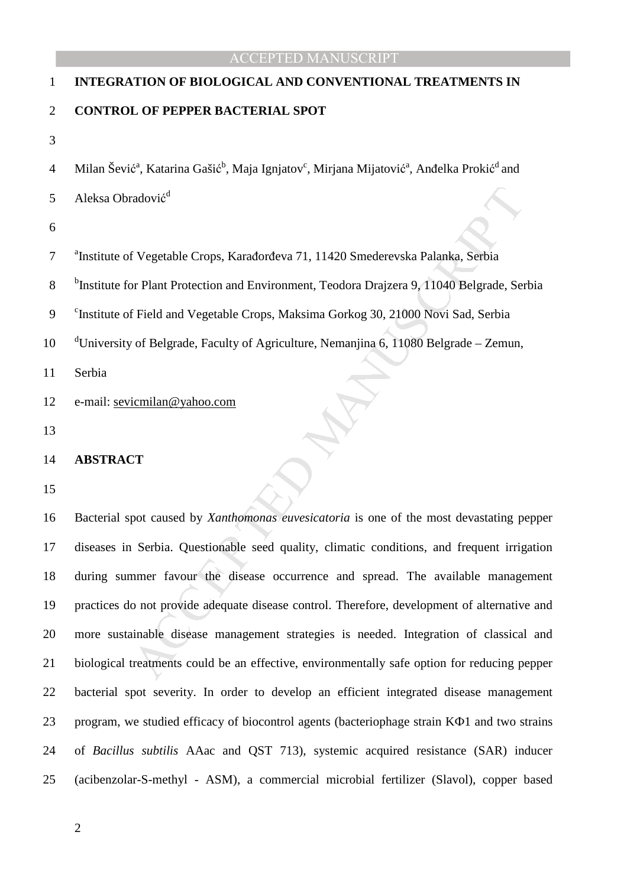# 1 **INTEGRATION OF BIOLOGICAL AND CONVENTIONAL TREATMENTS IN**  2 **CONTROL OF PEPPER BACTERIAL SPOT**

3

4 Milan Šević<sup>a</sup>, Katarina Gašić<sup>b</sup>, Maja Ignjatov<sup>c</sup>, Mirjana Mijatović<sup>a</sup>, Anđelka Prokić<sup>d</sup> and

Aleksa Obradović d 5

6

<sup>a</sup> Institute of Vegetable Crops, Karađorđeva 71, 11420 Smederevska Palanka, Serbia

<sup>b</sup>Institute for Plant Protection and Environment, Teodora Drajzera 9, 11040 Belgrade, Serbia

<sup>c</sup> Institute of Field and Vegetable Crops, Maksima Gorkog 30, 21000 Novi Sad, Serbia

10 d'University of Belgrade, Faculty of Agriculture, Nemanjina 6, 11080 Belgrade – Zemun,

11 Serbia

12 e-mail: sevicmilan@yahoo.com

13

#### 14 **ABSTRACT**

15

radović<sup>a</sup><br>
If Vegetable Crops, Karađorđeva 71, 11420 Smederevska Palanka, Serbia<br>
17 Plant Protection and Environment, Teodora Drajzera 9, 11040 Belgrade, Ser<br>
If Field and Vegetable Crops, Maksima Gorkog 30, 21000 Novi S 16 Bacterial spot caused by *Xanthomonas euvesicatoria* is one of the most devastating pepper 17 diseases in Serbia. Questionable seed quality, climatic conditions, and frequent irrigation 18 during summer favour the disease occurrence and spread. The available management 19 practices do not provide adequate disease control. Therefore, development of alternative and 20 more sustainable disease management strategies is needed. Integration of classical and 21 biological treatments could be an effective, environmentally safe option for reducing pepper 22 bacterial spot severity. In order to develop an efficient integrated disease management 23 program, we studied efficacy of biocontrol agents (bacteriophage strain KФ1 and two strains 24 of *Bacillus subtilis* AAac and QST 713), systemic acquired resistance (SAR) inducer 25 (acibenzolar-S-methyl - ASM), a commercial microbial fertilizer (Slavol), copper based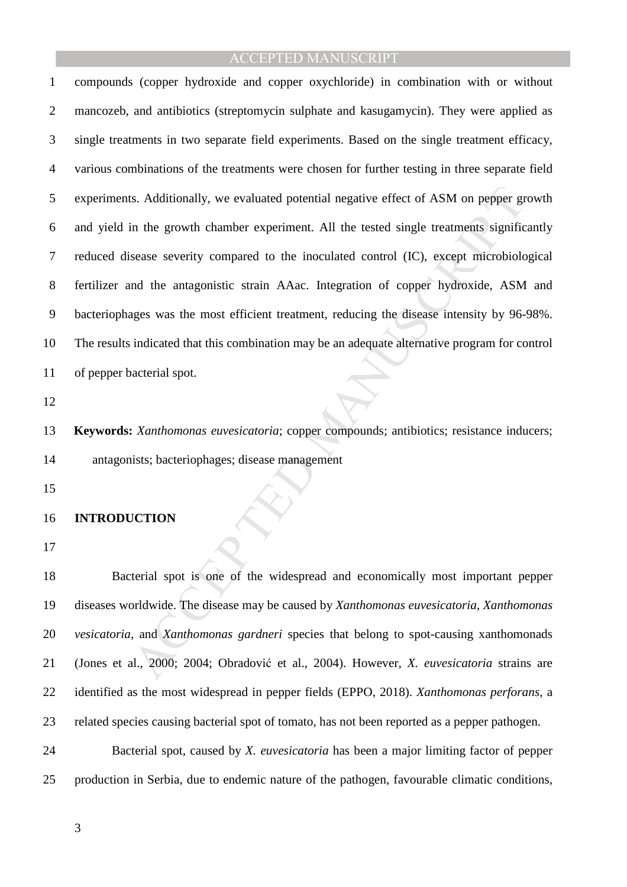Is. Additionally, we evaluated potential negative effect of ASM on pepper graphs in the growth chamber experiment. All the tested single treatments signific<br>sease severity compared to the inoculated control (IC), except mi 1 compounds (copper hydroxide and copper oxychloride) in combination with or without 2 mancozeb, and antibiotics (streptomycin sulphate and kasugamycin). They were applied as 3 single treatments in two separate field experiments. Based on the single treatment efficacy, 4 various combinations of the treatments were chosen for further testing in three separate field 5 experiments. Additionally, we evaluated potential negative effect of ASM on pepper growth 6 and yield in the growth chamber experiment. All the tested single treatments significantly 7 reduced disease severity compared to the inoculated control (IC), except microbiological 8 fertilizer and the antagonistic strain AAac. Integration of copper hydroxide, ASM and 9 bacteriophages was the most efficient treatment, reducing the disease intensity by 96-98%. 10 The results indicated that this combination may be an adequate alternative program for control 11 of pepper bacterial spot.

12

13 **Keywords:** *Xanthomonas euvesicatoria*; copper compounds; antibiotics; resistance inducers; 14 antagonists; bacteriophages; disease management

15

#### 16 **INTRODUCTION**

17

18 Bacterial spot is one of the widespread and economically most important pepper 19 diseases worldwide. The disease may be caused by *Xanthomonas euvesicatoria*, *Xanthomonas*  20 *vesicatoria*, and *Xanthomonas gardneri* species that belong to spot-causing xanthomonads 21 (Jones et al., 2000; 2004; Obradović et al., 2004). However, *X. euvesicatoria* strains are 22 identified as the most widespread in pepper fields (EPPO, 2018). *Xanthomonas perforans*, a 23 related species causing bacterial spot of tomato, has not been reported as a pepper pathogen.

24 Bacterial spot, caused by *X. euvesicatoria* has been a major limiting factor of pepper 25 production in Serbia, due to endemic nature of the pathogen, favourable climatic conditions,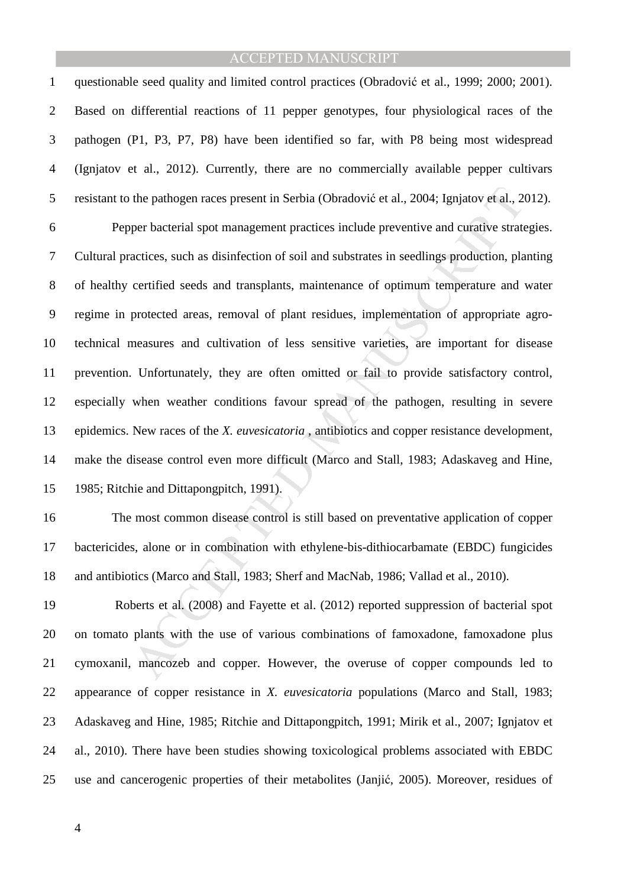1 questionable seed quality and limited control practices (Obradović et al., 1999; 2000; 2001). 2 Based on differential reactions of 11 pepper genotypes, four physiological races of the 3 pathogen (P1, P3, P7, P8) have been identified so far, with P8 being most widespread 4 (Ignjatov et al., 2012). Currently, there are no commercially available pepper cultivars 5 resistant to the pathogen races present in Serbia (Obradović et al., 2004; Ignjatov et al., 2012).

the pathogen races present in Serbia (Obradović et al., 2004; Ignjatov et al., 2)<br>per bacterial spot management practices include preventive and curative strate<br>actices, such as disinfection of soil and substrates in seedl 6 Pepper bacterial spot management practices include preventive and curative strategies. 7 Cultural practices, such as disinfection of soil and substrates in seedlings production, planting 8 of healthy certified seeds and transplants, maintenance of optimum temperature and water 9 regime in protected areas, removal of plant residues, implementation of appropriate agro-10 technical measures and cultivation of less sensitive varieties, are important for disease 11 prevention. Unfortunately, they are often omitted or fail to provide satisfactory control, 12 especially when weather conditions favour spread of the pathogen, resulting in severe 13 epidemics. New races of the *X. euvesicatoria* , antibiotics and copper resistance development, 14 make the disease control even more difficult (Marco and Stall, 1983; Adaskaveg and Hine, 15 1985; Ritchie and Dittapongpitch, 1991).

16 The most common disease control is still based on preventative application of copper 17 bactericides, alone or in combination with ethylene-bis-dithiocarbamate (EBDC) fungicides 18 and antibiotics (Marco and Stall, 1983; Sherf and MacNab, 1986; Vallad et al., 2010).

19 Roberts et al. (2008) and Fayette et al. (2012) reported suppression of bacterial spot 20 on tomato plants with the use of various combinations of famoxadone, famoxadone plus 21 cymoxanil, mancozeb and copper. However, the overuse of copper compounds led to 22 appearance of copper resistance in *X. euvesicatoria* populations (Marco and Stall, 1983; 23 Adaskaveg and Hine, 1985; Ritchie and Dittapongpitch, 1991; Mirik et al., 2007; Ignjatov et 24 al., 2010). There have been studies showing toxicological problems associated with EBDC 25 use and cancerogenic properties of their metabolites (Janjić, 2005). Moreover, residues of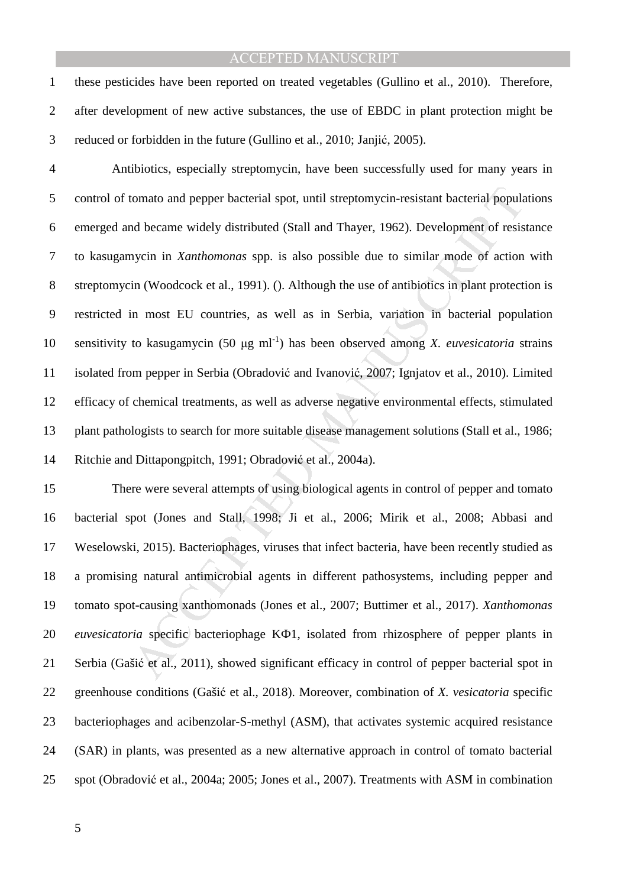1 these pesticides have been reported on treated vegetables (Gullino et al., 2010). Therefore, 2 after development of new active substances, the use of EBDC in plant protection might be 3 reduced or forbidden in the future (Gullino et al., 2010; Janjić, 2005).

4 Antibiotics, especially streptomycin, have been successfully used for many years in 5 control of tomato and pepper bacterial spot, until streptomycin-resistant bacterial populations 6 emerged and became widely distributed (Stall and Thayer, 1962). Development of resistance 7 to kasugamycin in *Xanthomonas* spp. is also possible due to similar mode of action with 8 streptomycin (Woodcock et al., 1991). (). Although the use of antibiotics in plant protection is 9 restricted in most EU countries, as well as in Serbia, variation in bacterial population 10 sensitivity to kasugamycin (50  $\mu$ g ml<sup>-1</sup>) has been observed among *X. euvesicatoria* strains 11 isolated from pepper in Serbia (Obradović and Ivanović, 2007; Ignjatov et al., 2010). Limited

12 efficacy of chemical treatments, as well as adverse negative environmental effects, stimulated 13 plant pathologists to search for more suitable disease management solutions (Stall et al., 1986; 14 Ritchie and Dittapongpitch, 1991; Obradović et al., 2004a).

tomato and pepper bacterial spot, until streptomycin-resistant bacterial popular<br>and became widely distributed (Stall and Thayer, 1962). Development of resis<br>aycin in *Xanthomonas* spp. is also possible due to similar mode 15 There were several attempts of using biological agents in control of pepper and tomato 16 bacterial spot (Jones and Stall, 1998; Ji et al., 2006; Mirik et al., 2008; Abbasi and 17 Weselowski, 2015). Bacteriophages, viruses that infect bacteria, have been recently studied as 18 a promising natural antimicrobial agents in different pathosystems, including pepper and 19 tomato spot-causing xanthomonads (Jones et al., 2007; Buttimer et al., 2017). *Xanthomonas*  20 *euvesicatoria* specific bacteriophage KФ1, isolated from rhizosphere of pepper plants in 21 Serbia (Gašić et al., 2011), showed significant efficacy in control of pepper bacterial spot in 22 greenhouse conditions (Gašić et al., 2018). Moreover, combination of *X. vesicatoria* specific 23 bacteriophages and acibenzolar-S-methyl (ASM), that activates systemic acquired resistance 24 (SAR) in plants, was presented as a new alternative approach in control of tomato bacterial 25 spot (Obradović et al., 2004a; 2005; Jones et al., 2007). Treatments with ASM in combination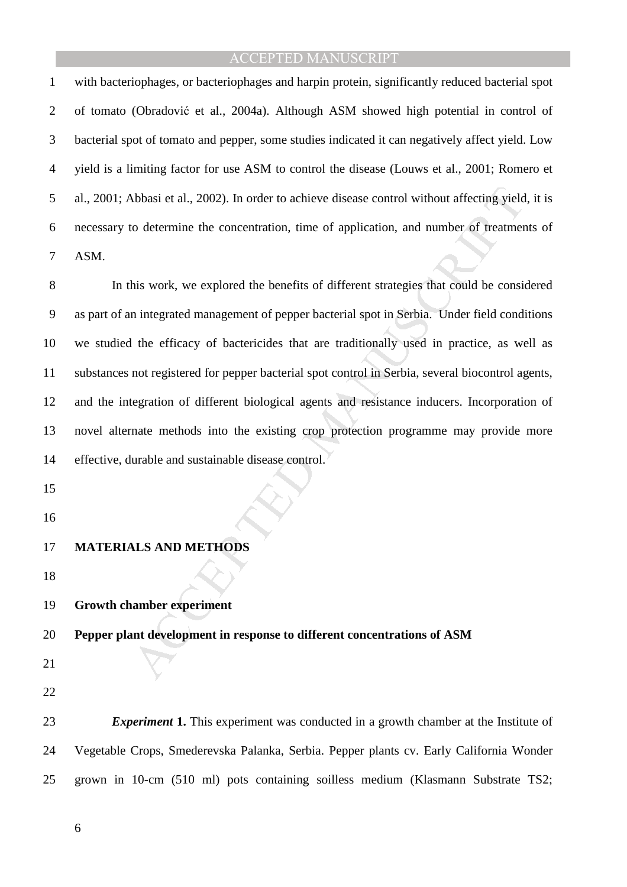1 with bacteriophages, or bacteriophages and harpin protein, significantly reduced bacterial spot 2 of tomato (Obradović et al., 2004a). Although ASM showed high potential in control of 3 bacterial spot of tomato and pepper, some studies indicated it can negatively affect yield. Low 4 yield is a limiting factor for use ASM to control the disease (Louws et al., 2001; Romero et 5 al., 2001; Abbasi et al., 2002). In order to achieve disease control without affecting yield, it is 6 necessary to determine the concentration, time of application, and number of treatments of 7 ASM.

Nobasi et al., 2002). In order to achieve disease control without affecting yield<br>
io determine the concentration, time of application, and number of treatment<br>
in the seconometric memories of different strategies that cou 8 In this work, we explored the benefits of different strategies that could be considered 9 as part of an integrated management of pepper bacterial spot in Serbia. Under field conditions 10 we studied the efficacy of bactericides that are traditionally used in practice, as well as 11 substances not registered for pepper bacterial spot control in Serbia, several biocontrol agents, 12 and the integration of different biological agents and resistance inducers. Incorporation of 13 novel alternate methods into the existing crop protection programme may provide more 14 effective, durable and sustainable disease control.

- 15
- 16
- 17 **MATERIALS AND METHODS**
- 18

19 **Growth chamber experiment** 

20 **Pepper plant development in response to different concentrations of ASM** 

- 21
- 22

23 *Experiment* **1.** This experiment was conducted in a growth chamber at the Institute of 24 Vegetable Crops, Smederevska Palanka, Serbia. Pepper plants cv. Early California Wonder 25 grown in 10-cm (510 ml) pots containing soilless medium (Klasmann Substrate TS2;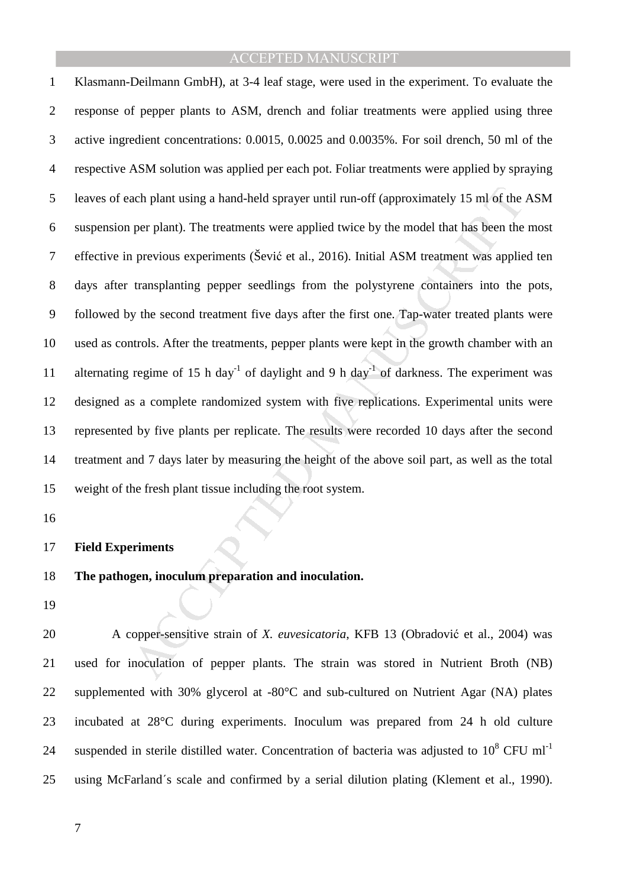ach plant using a hand-held sprayer until run-off (approximately 15 ml of the<br>per plant). The treatments were applied twice by the model that has been the<br>previous experiments (Šević et al., 2016). Initial ASM treatment wa 1 Klasmann-Deilmann GmbH), at 3-4 leaf stage, were used in the experiment. To evaluate the 2 response of pepper plants to ASM, drench and foliar treatments were applied using three 3 active ingredient concentrations: 0.0015, 0.0025 and 0.0035%. For soil drench, 50 ml of the 4 respective ASM solution was applied per each pot. Foliar treatments were applied by spraying 5 leaves of each plant using a hand-held sprayer until run-off (approximately 15 ml of the ASM 6 suspension per plant). The treatments were applied twice by the model that has been the most 7 effective in previous experiments (Šević et al., 2016). Initial ASM treatment was applied ten 8 days after transplanting pepper seedlings from the polystyrene containers into the pots, 9 followed by the second treatment five days after the first one. Tap-water treated plants were 10 used as controls. After the treatments, pepper plants were kept in the growth chamber with an 11 alternating regime of 15 h day<sup>-1</sup> of daylight and 9 h day<sup>-1</sup> of darkness. The experiment was 12 designed as a complete randomized system with five replications. Experimental units were 13 represented by five plants per replicate. The results were recorded 10 days after the second 14 treatment and 7 days later by measuring the height of the above soil part, as well as the total 15 weight of the fresh plant tissue including the root system.

16

#### 17 **Field Experiments**

#### 18 **The pathogen, inoculum preparation and inoculation.**

19

20 A copper-sensitive strain of *X. euvesicatoria*, KFB 13 (Obradović et al., 2004) was 21 used for inoculation of pepper plants. The strain was stored in Nutrient Broth (NB) 22 supplemented with 30% glycerol at -80°C and sub-cultured on Nutrient Agar (NA) plates 23 incubated at 28°C during experiments. Inoculum was prepared from 24 h old culture 24 suspended in sterile distilled water. Concentration of bacteria was adjusted to  $10^8$  CFU ml<sup>-1</sup> 25 using McFarland΄s scale and confirmed by a serial dilution plating (Klement et al., 1990).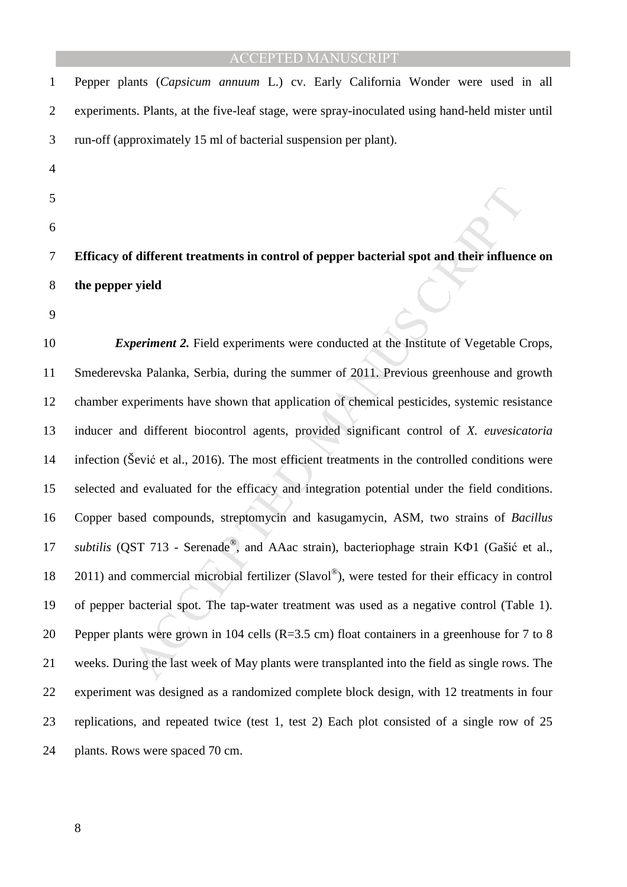| 1              | Pepper plants (Capsicum annuum L.) cv. Early California Wonder were used in all                   |
|----------------|---------------------------------------------------------------------------------------------------|
| $\overline{2}$ | experiments. Plants, at the five-leaf stage, were spray-inoculated using hand-held mister until   |
| 3              | run-off (approximately 15 ml of bacterial suspension per plant).                                  |
| $\overline{4}$ |                                                                                                   |
| 5              |                                                                                                   |
| 6              |                                                                                                   |
| 7              | Efficacy of different treatments in control of pepper bacterial spot and their influence on       |
| 8              | the pepper yield                                                                                  |
| 9              |                                                                                                   |
| 10             | <i>Experiment 2.</i> Field experiments were conducted at the Institute of Vegetable Crops,        |
| 11             | Smederevska Palanka, Serbia, during the summer of 2011. Previous greenhouse and growth            |
| 12             | chamber experiments have shown that application of chemical pesticides, systemic resistance       |
| 13             | inducer and different biocontrol agents, provided significant control of X. euvesicatoria         |
| 14             | infection (Sević et al., 2016). The most efficient treatments in the controlled conditions were   |
| 15             | selected and evaluated for the efficacy and integration potential under the field conditions.     |
| 16             | Copper based compounds, streptomycin and kasugamycin, ASM, two strains of Bacillus                |
| 17             | subtilis (QST 713 - Serenade®, and AAac strain), bacteriophage strain KΦ1 (Gašić et al.,          |
| 18             | $2011$ ) and commercial microbial fertilizer (Slavol®), were tested for their efficacy in control |
| 19             | of pepper bacterial spot. The tap-water treatment was used as a negative control (Table 1).       |
| 20             | Pepper plants were grown in 104 cells (R=3.5 cm) float containers in a greenhouse for 7 to 8      |
| 21             | weeks. During the last week of May plants were transplanted into the field as single rows. The    |
| 22             | experiment was designed as a randomized complete block design, with 12 treatments in four         |
| 23             | replications, and repeated twice (test 1, test 2) Each plot consisted of a single row of 25       |
| 24             | plants. Rows were spaced 70 cm.                                                                   |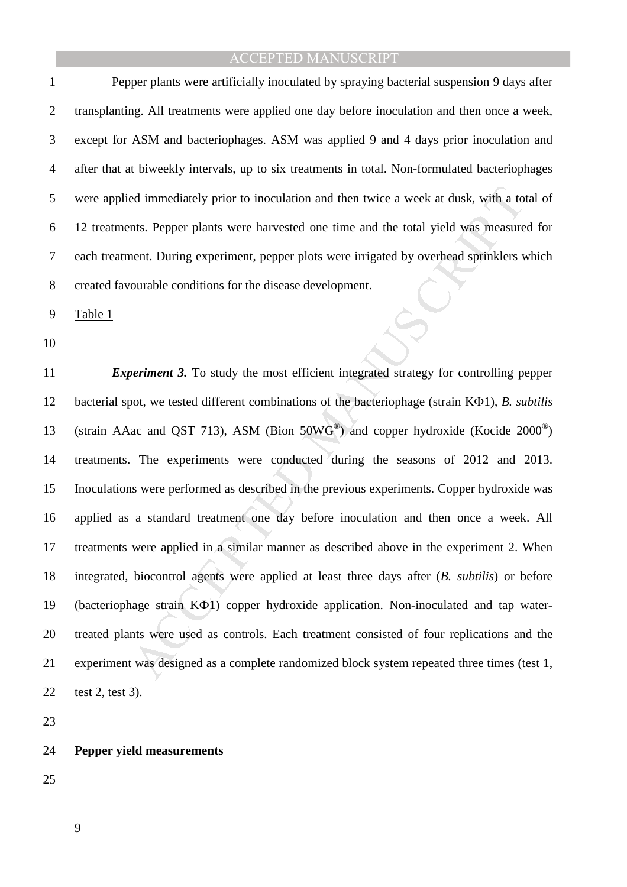2 transplanting. All treatments were applied one day before inoculation and then once a week, 3 except for ASM and bacteriophages. ASM was applied 9 and 4 days prior inoculation and 4 after that at biweekly intervals, up to six treatments in total. Non-formulated bacteriophages 5 were applied immediately prior to inoculation and then twice a week at dusk, with a total of 6 12 treatments. Pepper plants were harvested one time and the total yield was measured for 7 each treatment. During experiment, pepper plots were irrigated by overhead sprinklers which 8 created favourable conditions for the disease development.

9 Table 1

10

ed immediately prior to inoculation and then twice a week at dusk, with a to<br>nts. Pepper plants were harvested one time and the total yield was measure<br>nent. During experiment, pepper plots were irrigated by overhead sprin 11 *Experiment 3.* To study the most efficient integrated strategy for controlling pepper 12 bacterial spot, we tested different combinations of the bacteriophage (strain KФ1), *B. subtilis* 13 (strain AAac and QST 713), ASM (Bion 50WG®) and copper hydroxide (Kocide 2000<sup>®</sup>) 14 treatments. The experiments were conducted during the seasons of 2012 and 2013. 15 Inoculations were performed as described in the previous experiments. Copper hydroxide was 16 applied as a standard treatment one day before inoculation and then once a week. All 17 treatments were applied in a similar manner as described above in the experiment 2. When 18 integrated, biocontrol agents were applied at least three days after (*B. subtilis*) or before 19 (bacteriophage strain KФ1) copper hydroxide application. Non-inoculated and tap water-20 treated plants were used as controls. Each treatment consisted of four replications and the 21 experiment was designed as a complete randomized block system repeated three times (test 1, 22 test 2, test 3).

23

#### 24 **Pepper yield measurements**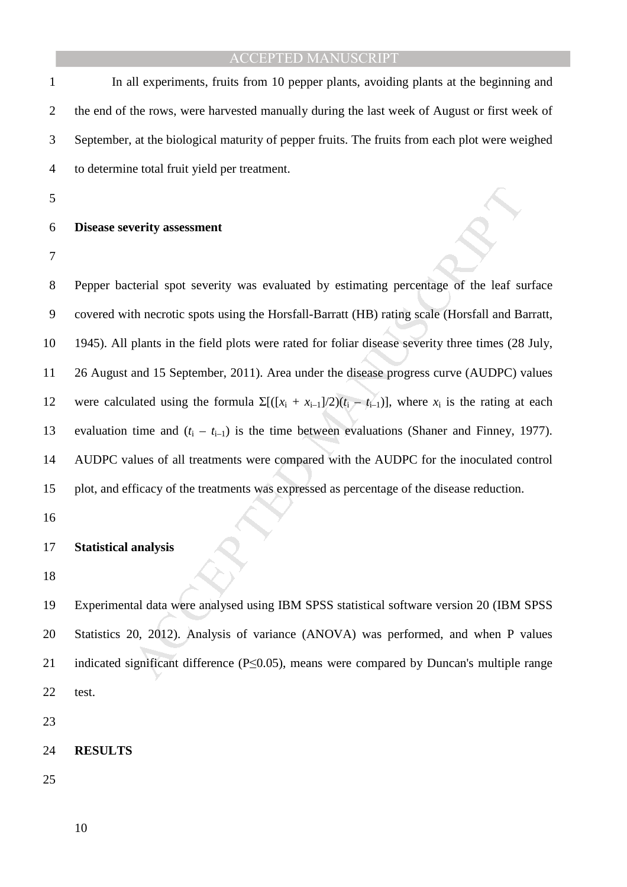1 In all experiments, fruits from 10 pepper plants, avoiding plants at the beginning and 2 the end of the rows, were harvested manually during the last week of August or first week of 3 September, at the biological maturity of pepper fruits. The fruits from each plot were weighed 4 to determine total fruit yield per treatment.

5

#### 6 **Disease severity assessment**

7

verity assessment<br>terial spot severity was evaluated by estimating percentage of the leaf su<br>th necrotic spots using the Horsfall-Barratt (HB) rating scale (Horsfall and Ba<br>plants in the field plots were rated for foliar 8 Pepper bacterial spot severity was evaluated by estimating percentage of the leaf surface 9 covered with necrotic spots using the Horsfall-Barratt (HB) rating scale (Horsfall and Barratt, 10 1945). All plants in the field plots were rated for foliar disease severity three times (28 July, 11 26 August and 15 September, 2011). Area under the disease progress curve (AUDPC) values 12 were calculated using the formula  $\Sigma[(x_i + x_{i-1})/2)(t_i - t_{i-1})]$ , where  $x_i$  is the rating at each 13 evaluation time and  $(t_i - t_{i-1})$  is the time between evaluations (Shaner and Finney, 1977). 14 AUDPC values of all treatments were compared with the AUDPC for the inoculated control 15 plot, and efficacy of the treatments was expressed as percentage of the disease reduction.

16

#### 17 **Statistical analysis**

18

19 Experimental data were analysed using IBM SPSS statistical software version 20 (IBM SPSS 20 Statistics 20, 2012). Analysis of variance (ANOVA) was performed, and when P values 21 indicated significant difference (P≤0.05), means were compared by Duncan's multiple range 22 test.

23

#### 24 **RESULTS**

25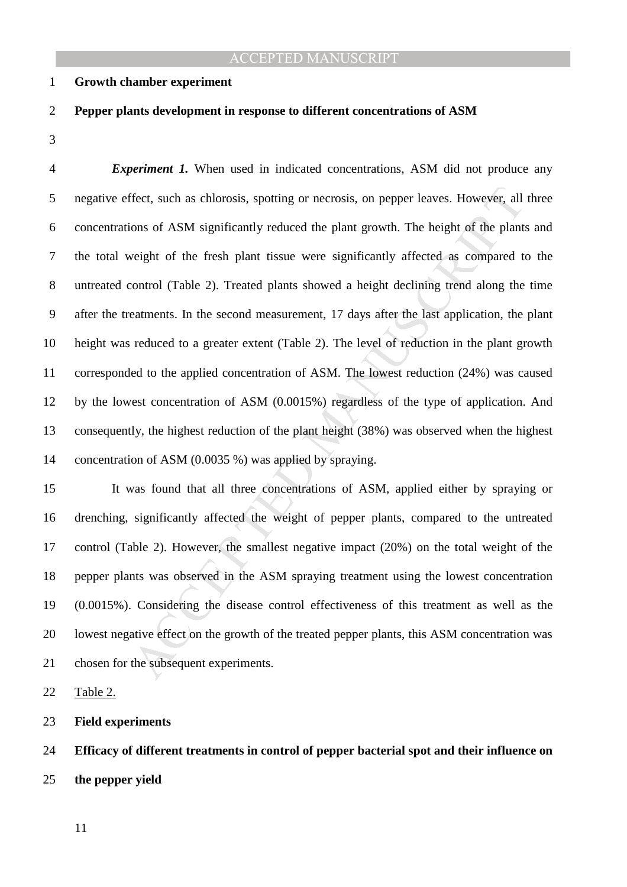2 **Pepper plants development in response to different concentrations of ASM** 

#### 1 **Growth chamber experiment**

#### 3

Fect, such as chlorosis, spotting or necrosis, on pepper leaves. However, all<br>ons of ASM significantly reduced the plant growth. The height of the plant<br>veight of the fresh plant tissue were significantly affected as compa 4 *Experiment 1.* When used in indicated concentrations, ASM did not produce any 5 negative effect, such as chlorosis, spotting or necrosis, on pepper leaves. However, all three 6 concentrations of ASM significantly reduced the plant growth. The height of the plants and 7 the total weight of the fresh plant tissue were significantly affected as compared to the 8 untreated control (Table 2). Treated plants showed a height declining trend along the time 9 after the treatments. In the second measurement, 17 days after the last application, the plant 10 height was reduced to a greater extent (Table 2). The level of reduction in the plant growth 11 corresponded to the applied concentration of ASM. The lowest reduction (24%) was caused 12 by the lowest concentration of ASM (0.0015%) regardless of the type of application. And 13 consequently, the highest reduction of the plant height (38%) was observed when the highest 14 concentration of ASM (0.0035 %) was applied by spraying.

15 It was found that all three concentrations of ASM, applied either by spraying or 16 drenching, significantly affected the weight of pepper plants, compared to the untreated 17 control (Table 2). However, the smallest negative impact (20%) on the total weight of the 18 pepper plants was observed in the ASM spraying treatment using the lowest concentration 19 (0.0015%). Considering the disease control effectiveness of this treatment as well as the 20 lowest negative effect on the growth of the treated pepper plants, this ASM concentration was 21 chosen for the subsequent experiments.

22 Table 2.

23 **Field experiments**

24 **Efficacy of different treatments in control of pepper bacterial spot and their influence on**  25 **the pepper yield**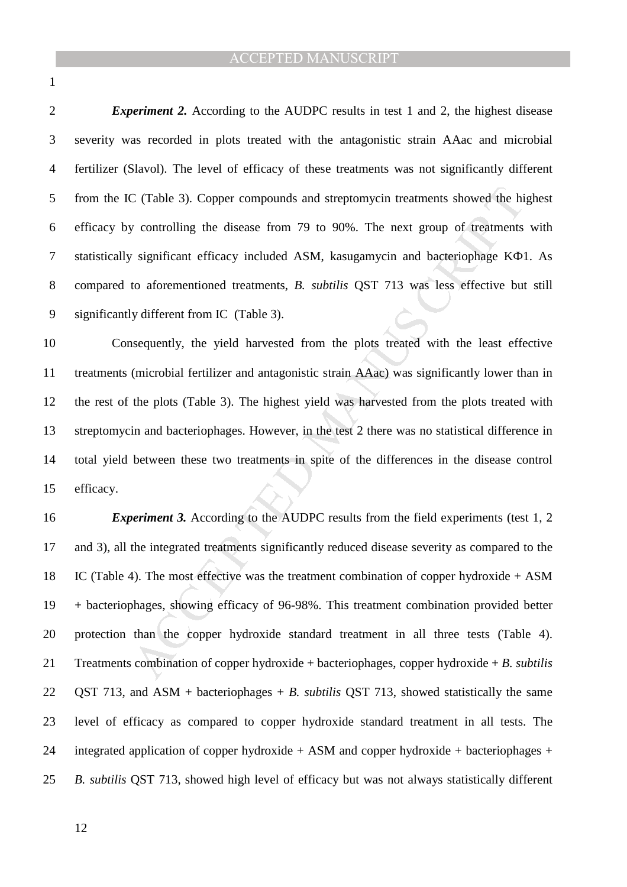1

2 *Experiment 2.* According to the AUDPC results in test 1 and 2, the highest disease 3 severity was recorded in plots treated with the antagonistic strain AAac and microbial 4 fertilizer (Slavol). The level of efficacy of these treatments was not significantly different 5 from the IC (Table 3). Copper compounds and streptomycin treatments showed the highest 6 efficacy by controlling the disease from 79 to 90%. The next group of treatments with 7 statistically significant efficacy included ASM, kasugamycin and bacteriophage KФ1. As 8 compared to aforementioned treatments, *B. subtilis* QST 713 was less effective but still 9 significantly different from IC (Table 3).

10 Consequently, the yield harvested from the plots treated with the least effective 11 treatments (microbial fertilizer and antagonistic strain AAac) was significantly lower than in 12 the rest of the plots (Table 3). The highest yield was harvested from the plots treated with 13 streptomycin and bacteriophages. However, in the test 2 there was no statistical difference in 14 total yield between these two treatments in spite of the differences in the disease control 15 efficacy.

C (Table 3). Copper compounds and streptomycin treatments showed the high controlling the disease from 79 to 90%. The next group of treatments significant efficacy included ASM, kasugamycin and bacteriophage KO to aforeme 16 *Experiment 3.* According to the AUDPC results from the field experiments (test 1, 2 17 and 3), all the integrated treatments significantly reduced disease severity as compared to the 18 IC (Table 4). The most effective was the treatment combination of copper hydroxide + ASM 19 + bacteriophages, showing efficacy of 96-98%. This treatment combination provided better 20 protection than the copper hydroxide standard treatment in all three tests (Table 4). 21 Treatments combination of copper hydroxide + bacteriophages, copper hydroxide + *B. subtilis*  22 QST 713, and ASM + bacteriophages + *B. subtilis* QST 713, showed statistically the same 23 level of efficacy as compared to copper hydroxide standard treatment in all tests. The 24 integrated application of copper hydroxide + ASM and copper hydroxide + bacteriophages + 25 *B. subtilis* QST 713, showed high level of efficacy but was not always statistically different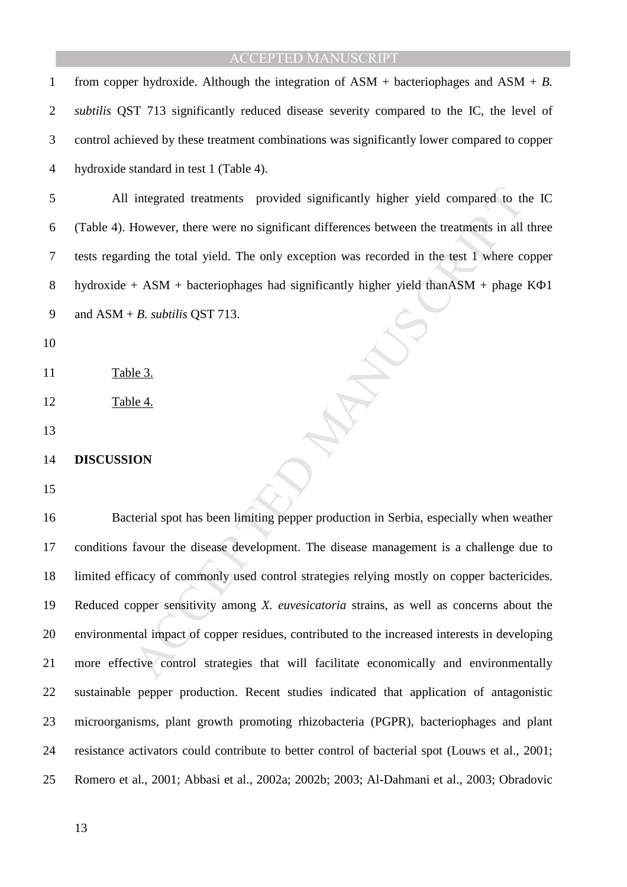1 from copper hydroxide. Although the integration of ASM + bacteriophages and ASM + *B.* 

| $\overline{2}$ | subtilis QST 713 significantly reduced disease severity compared to the IC, the level of        |
|----------------|-------------------------------------------------------------------------------------------------|
| 3              | control achieved by these treatment combinations was significantly lower compared to copper     |
| 4              | hydroxide standard in test 1 (Table 4).                                                         |
| 5              | All integrated treatments provided significantly higher yield compared to the IC                |
| 6              | (Table 4). However, there were no significant differences between the treatments in all three   |
| 7              | tests regarding the total yield. The only exception was recorded in the test 1 where copper     |
| 8              | hydroxide + ASM + bacteriophages had significantly higher yield than ASM + phage $K\Phi1$       |
| 9              | and $ASM + B$ . <i>subtilis</i> QST 713.                                                        |
| 10             |                                                                                                 |
| 11             | Table 3.                                                                                        |
| 12             | Table 4.                                                                                        |
| 13             |                                                                                                 |
| 14             | <b>DISCUSSION</b>                                                                               |
| 15             |                                                                                                 |
| 16             | Bacterial spot has been limiting pepper production in Serbia, especially when weather           |
| 17             | conditions favour the disease development. The disease management is a challenge due to         |
| 18             | limited efficacy of commonly used control strategies relying mostly on copper bactericides.     |
| 19             | Reduced copper sensitivity among X. euvesicatoria strains, as well as concerns about the        |
| 20             | environmental impact of copper residues, contributed to the increased interests in developing   |
| 21             | more effective control strategies that will facilitate economically and environmentally         |
| 22             | sustainable pepper production. Recent studies indicated that application of antagonistic        |
| 23             | microorganisms, plant growth promoting rhizobacteria (PGPR), bacteriophages and plant           |
| 24             | resistance activators could contribute to better control of bacterial spot (Louws et al., 2001; |
| 25             | Romero et al., 2001; Abbasi et al., 2002a; 2002b; 2003; Al-Dahmani et al., 2003; Obradovic      |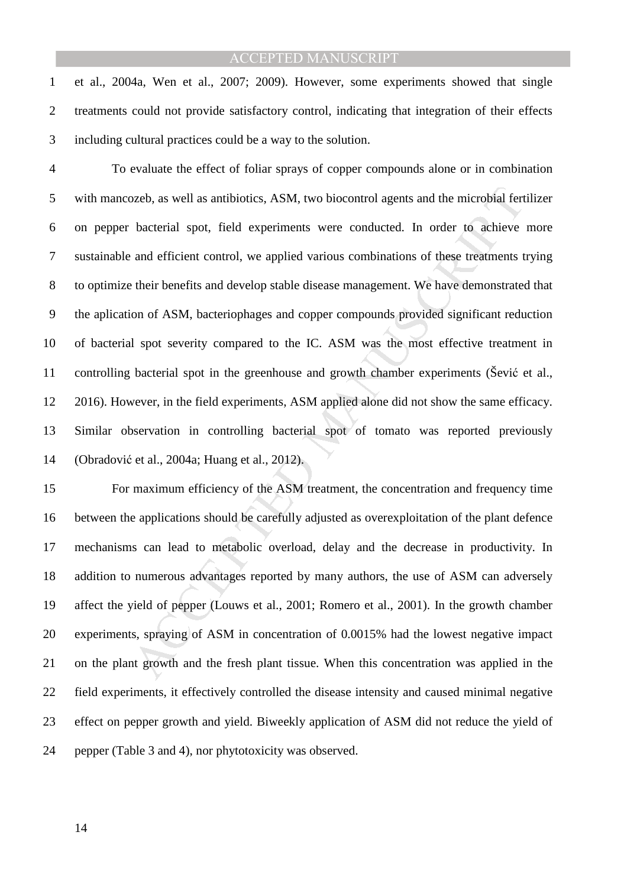1 et al., 2004a, Wen et al., 2007; 2009). However, some experiments showed that single 2 treatments could not provide satisfactory control, indicating that integration of their effects 3 including cultural practices could be a way to the solution.

or or sevell as antibiotics, ASM, two biocontrol agents and the microbial fert<br>bacterial spot, field experiments were conducted. In order to achieve<br>and efficient control, we applied various combinations of these treatment 4 To evaluate the effect of foliar sprays of copper compounds alone or in combination 5 with mancozeb, as well as antibiotics, ASM, two biocontrol agents and the microbial fertilizer 6 on pepper bacterial spot, field experiments were conducted. In order to achieve more 7 sustainable and efficient control, we applied various combinations of these treatments trying 8 to optimize their benefits and develop stable disease management. We have demonstrated that 9 the aplication of ASM, bacteriophages and copper compounds provided significant reduction 10 of bacterial spot severity compared to the IC. ASM was the most effective treatment in 11 controlling bacterial spot in the greenhouse and growth chamber experiments (Šević et al., 12 2016). However, in the field experiments, ASM applied alone did not show the same efficacy. 13 Similar observation in controlling bacterial spot of tomato was reported previously 14 (Obradović et al., 2004a; Huang et al., 2012).

15 For maximum efficiency of the ASM treatment, the concentration and frequency time 16 between the applications should be carefully adjusted as overexploitation of the plant defence 17 mechanisms can lead to metabolic overload, delay and the decrease in productivity. In 18 addition to numerous advantages reported by many authors, the use of ASM can adversely 19 affect the yield of pepper (Louws et al., 2001; Romero et al., 2001). In the growth chamber 20 experiments, spraying of ASM in concentration of 0.0015% had the lowest negative impact 21 on the plant growth and the fresh plant tissue. When this concentration was applied in the 22 field experiments, it effectively controlled the disease intensity and caused minimal negative 23 effect on pepper growth and yield. Biweekly application of ASM did not reduce the yield of 24 pepper (Table 3 and 4), nor phytotoxicity was observed.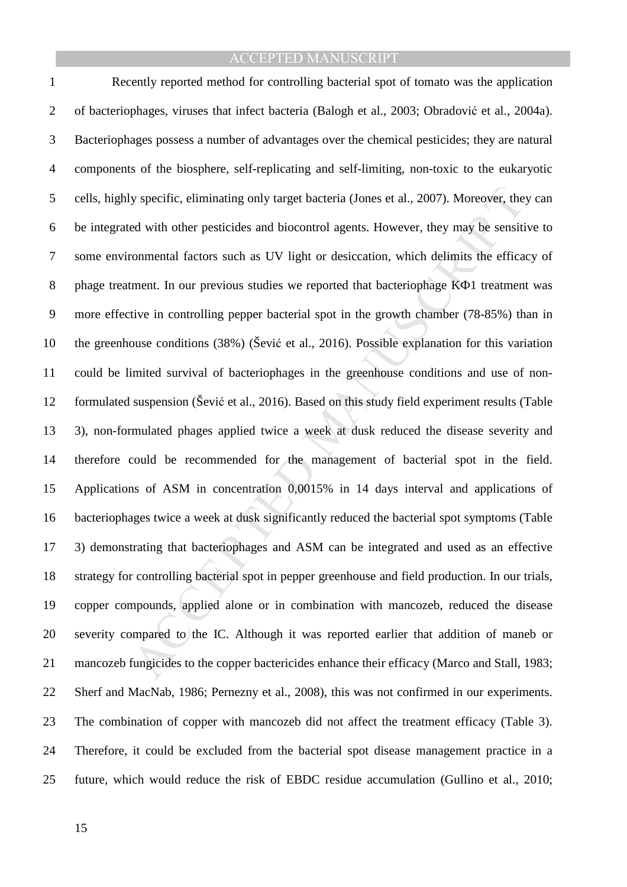y specific, eliminating only target bacteria (Jones et al., 2007). Moreover, the<br>ed with other pesticides and biocontrol agents. However, they may be sensiti<br>commental factors such as UV light or desiccation, which delimit 1 Recently reported method for controlling bacterial spot of tomato was the application 2 of bacteriophages, viruses that infect bacteria (Balogh et al., 2003; Obradović et al., 2004a). 3 Bacteriophages possess a number of advantages over the chemical pesticides; they are natural 4 components of the biosphere, self-replicating and self-limiting, non-toxic to the eukaryotic 5 cells, highly specific, eliminating only target bacteria (Jones et al., 2007). Moreover, they can 6 be integrated with other pesticides and biocontrol agents. However, they may be sensitive to 7 some environmental factors such as UV light or desiccation, which delimits the efficacy of 8 phage treatment. In our previous studies we reported that bacteriophage KΦ1 treatment was 9 more effective in controlling pepper bacterial spot in the growth chamber (78-85%) than in 10 the greenhouse conditions (38%) (Šević et al., 2016). Possible explanation for this variation 11 could be limited survival of bacteriophages in the greenhouse conditions and use of non-12 formulated suspension (Šević et al., 2016). Based on this study field experiment results (Table 13 3), non-formulated phages applied twice a week at dusk reduced the disease severity and 14 therefore could be recommended for the management of bacterial spot in the field. 15 Applications of ASM in concentration 0,0015% in 14 days interval and applications of 16 bacteriophages twice a week at dusk significantly reduced the bacterial spot symptoms (Table 17 3) demonstrating that bacteriophages and ASM can be integrated and used as an effective 18 strategy for controlling bacterial spot in pepper greenhouse and field production. In our trials, 19 copper compounds, applied alone or in combination with mancozeb, reduced the disease 20 severity compared to the IC. Although it was reported earlier that addition of maneb or 21 mancozeb fungicides to the copper bactericides enhance their efficacy (Marco and Stall, 1983; 22 Sherf and MacNab, 1986; Pernezny et al., 2008), this was not confirmed in our experiments. 23 The combination of copper with mancozeb did not affect the treatment efficacy (Table 3). 24 Therefore, it could be excluded from the bacterial spot disease management practice in a 25 future, which would reduce the risk of EBDC residue accumulation (Gullino et al., 2010;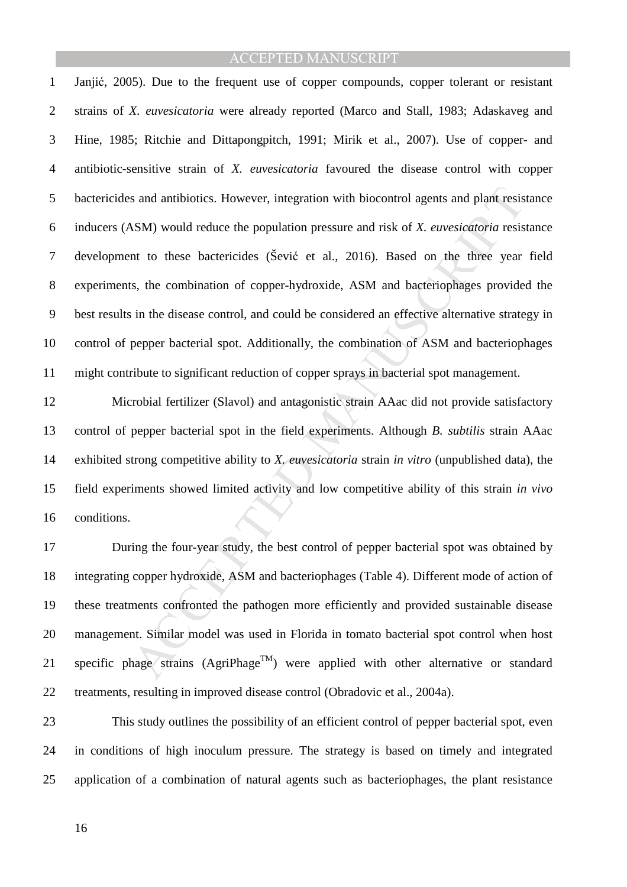s and antibiotics. However, integration with biocontrol agents and plant resis<br>
MSM) would reduce the population pressure and risk of *X. euvesicatoria* resis<br>
nt to these bactericides (Šević et al., 2016). Based on the th 1 Janjić, 2005). Due to the frequent use of copper compounds, copper tolerant or resistant 2 strains of *X. euvesicatoria* were already reported (Marco and Stall, 1983; Adaskaveg and 3 Hine, 1985; Ritchie and Dittapongpitch, 1991; Mirik et al., 2007). Use of copper- and 4 antibiotic-sensitive strain of *X. euvesicatoria* favoured the disease control with copper 5 bactericides and antibiotics. However, integration with biocontrol agents and plant resistance 6 inducers (ASM) would reduce the population pressure and risk of *X. euvesicatoria* resistance 7 development to these bactericides (Šević et al., 2016). Based on the three year field 8 experiments, the combination of copper-hydroxide, ASM and bacteriophages provided the 9 best results in the disease control, and could be considered an effective alternative strategy in 10 control of pepper bacterial spot. Additionally, the combination of ASM and bacteriophages 11 might contribute to significant reduction of copper sprays in bacterial spot management.

12 Microbial fertilizer (Slavol) and antagonistic strain AAac did not provide satisfactory 13 control of pepper bacterial spot in the field experiments. Although *B. subtilis* strain AAac 14 exhibited strong competitive ability to *X. euvesicatoria* strain *in vitro* (unpublished data), the 15 field experiments showed limited activity and low competitive ability of this strain *in vivo* 16 conditions.

17 During the four-year study, the best control of pepper bacterial spot was obtained by 18 integrating copper hydroxide, ASM and bacteriophages (Table 4). Different mode of action of 19 these treatments confronted the pathogen more efficiently and provided sustainable disease 20 management. Similar model was used in Florida in tomato bacterial spot control when host 21 specific phage strains  $(AgriPhase^{TM})$  were applied with other alternative or standard 22 treatments, resulting in improved disease control (Obradovic et al., 2004a).

23 This study outlines the possibility of an efficient control of pepper bacterial spot, even 24 in conditions of high inoculum pressure. The strategy is based on timely and integrated 25 application of a combination of natural agents such as bacteriophages, the plant resistance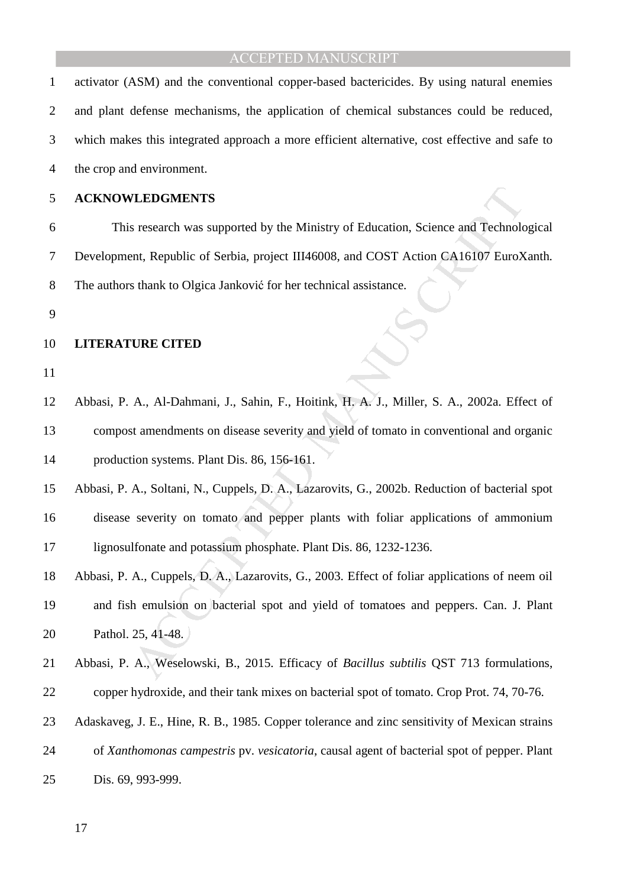| $\mathbf{1}$   | activator (ASM) and the conventional copper-based bactericides. By using natural enemies       |
|----------------|------------------------------------------------------------------------------------------------|
| $\overline{2}$ | and plant defense mechanisms, the application of chemical substances could be reduced,         |
| 3              | which makes this integrated approach a more efficient alternative, cost effective and safe to  |
| 4              | the crop and environment.                                                                      |
| 5              | <b>ACKNOWLEDGMENTS</b>                                                                         |
| 6              | This research was supported by the Ministry of Education, Science and Technological            |
| 7              | Development, Republic of Serbia, project III46008, and COST Action CA16107 EuroXanth.          |
| 8              | The authors thank to Olgica Janković for her technical assistance.                             |
| 9              |                                                                                                |
| 10             | <b>LITERATURE CITED</b>                                                                        |
| 11             |                                                                                                |
| 12             | Abbasi, P. A., Al-Dahmani, J., Sahin, F., Hoitink, H. A. J., Miller, S. A., 2002a. Effect of   |
| 13             | compost amendments on disease severity and yield of tomato in conventional and organic         |
| 14             | production systems. Plant Dis. 86, 156-161.                                                    |
| 15             | Abbasi, P. A., Soltani, N., Cuppels, D. A., Lazarovits, G., 2002b. Reduction of bacterial spot |
| 16             | disease severity on tomato and pepper plants with foliar applications of ammonium              |
| 17             | lignosulfonate and potassium phosphate. Plant Dis. 86, 1232-1236.                              |
| 18             | Abbasi, P. A., Cuppels, D. A., Lazarovits, G., 2003. Effect of foliar applications of neem oil |
| 19             | and fish emulsion on bacterial spot and yield of tomatoes and peppers. Can. J. Plant           |
| 20             | Pathol. 25, 41-48.                                                                             |
| 21             | Abbasi, P. A., Weselowski, B., 2015. Efficacy of Bacillus subtilis QST 713 formulations,       |
| 22             | copper hydroxide, and their tank mixes on bacterial spot of tomato. Crop Prot. 74, 70-76.      |
| 23             | Adaskaveg, J. E., Hine, R. B., 1985. Copper tolerance and zinc sensitivity of Mexican strains  |
| 24             | of Xanthomonas campestris pv. vesicatoria, causal agent of bacterial spot of pepper. Plant     |
| 25             | Dis. 69, 993-999.                                                                              |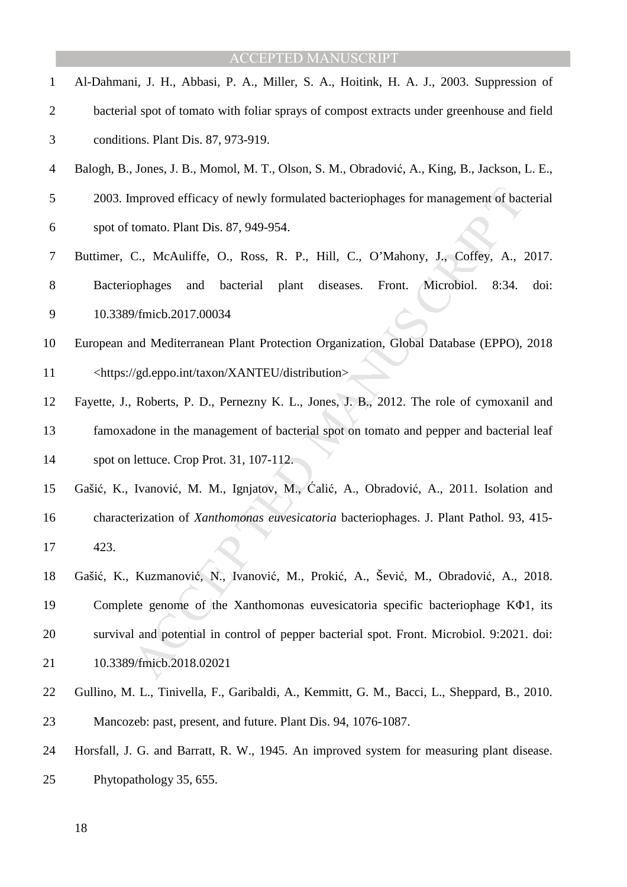| 1              | Al-Dahmani, J. H., Abbasi, P. A., Miller, S. A., Hoitink, H. A. J., 2003. Suppression of       |
|----------------|------------------------------------------------------------------------------------------------|
| $\overline{2}$ | bacterial spot of tomato with foliar sprays of compost extracts under greenhouse and field     |
| 3              | conditions. Plant Dis. 87, 973-919.                                                            |
| $\overline{4}$ | Balogh, B., Jones, J. B., Momol, M. T., Olson, S. M., Obradović, A., King, B., Jackson, L. E., |
| 5              | 2003. Improved efficacy of newly formulated bacteriophages for management of bacterial         |
| 6              | spot of tomato. Plant Dis. 87, 949-954.                                                        |
| 7              | Buttimer, C., McAuliffe, O., Ross, R. P., Hill, C., O'Mahony, J., Coffey, A., 2017.            |
| 8              | bacterial plant diseases.<br>Microbiol.<br>Bacteriophages<br>Front.<br>doi:<br>and<br>8:34.    |
| 9              | 10.3389/fmicb.2017.00034                                                                       |
| 10             | European and Mediterranean Plant Protection Organization, Global Database (EPPO), 2018         |
| 11             | <https: distribution="" gd.eppo.int="" taxon="" xanteu=""></https:>                            |
| 12             | Fayette, J., Roberts, P. D., Pernezny K. L., Jones, J. B., 2012. The role of cymoxanil and     |
| 13             | famoxadone in the management of bacterial spot on tomato and pepper and bacterial leaf         |
| 14             | spot on lettuce. Crop Prot. 31, 107-112.                                                       |
| 15             | Gašić, K., Ivanović, M. M., Ignjatov, M., Calić, A., Obradović, A., 2011. Isolation and        |
| 16             | characterization of Xanthomonas euvesicatoria bacteriophages. J. Plant Pathol. 93, 415-        |
| 17             | 423.                                                                                           |
| 18             | Gašić, K., Kuzmanović, N., Ivanović, M., Prokić, A., Šević, M., Obradović, A., 2018.           |
| 19             | Complete genome of the Xanthomonas euvesicatoria specific bacteriophage KΦ1, its               |
| 20             | survival and potential in control of pepper bacterial spot. Front. Microbiol. 9:2021. doi:     |
| 21             | 10.3389/fmicb.2018.02021                                                                       |
| 22             | Gullino, M. L., Tinivella, F., Garibaldi, A., Kemmitt, G. M., Bacci, L., Sheppard, B., 2010.   |
| 23             | Mancozeb: past, present, and future. Plant Dis. 94, 1076-1087.                                 |
| 24             | Horsfall, J. G. and Barratt, R. W., 1945. An improved system for measuring plant disease.      |
| 25             | Phytopathology 35, 655.                                                                        |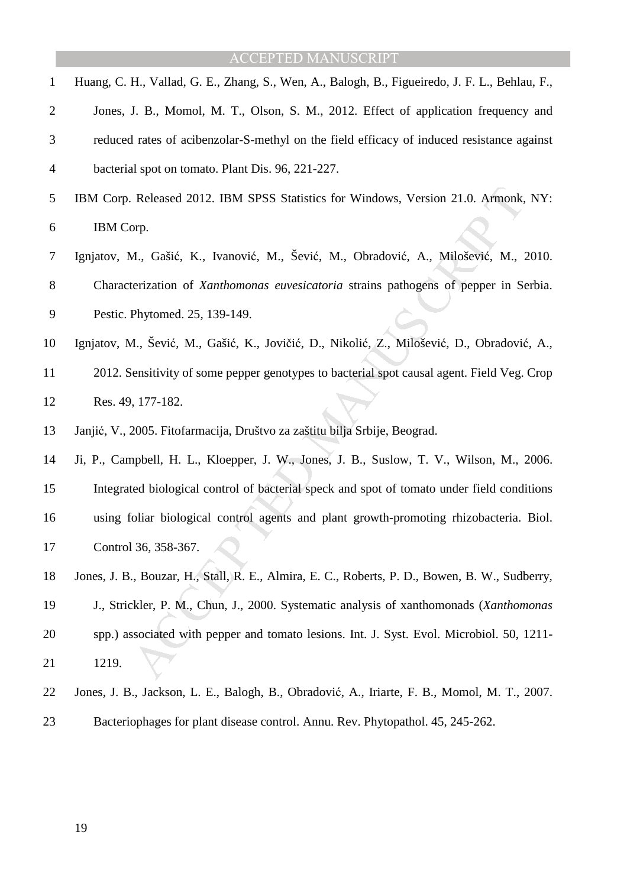| 1              | Huang, C. H., Vallad, G. E., Zhang, S., Wen, A., Balogh, B., Figueiredo, J. F. L., Behlau, F., |
|----------------|------------------------------------------------------------------------------------------------|
| $\overline{2}$ | Jones, J. B., Momol, M. T., Olson, S. M., 2012. Effect of application frequency and            |
| 3              | reduced rates of acibenzolar-S-methyl on the field efficacy of induced resistance against      |
| $\overline{4}$ | bacterial spot on tomato. Plant Dis. 96, 221-227.                                              |
| 5              | IBM Corp. Released 2012. IBM SPSS Statistics for Windows, Version 21.0. Armonk, NY:            |
| 6              | IBM Corp.                                                                                      |
| 7              | Ignjatov, M., Gašić, K., Ivanović, M., Šević, M., Obradović, A., Milošević, M., 2010.          |
| 8              | Characterization of Xanthomonas euvesicatoria strains pathogens of pepper in Serbia.           |
| 9              | Pestic. Phytomed. 25, 139-149.                                                                 |
| 10             | Ignjatov, M., Šević, M., Gašić, K., Jovičić, D., Nikolić, Z., Milošević, D., Obradović, A.,    |
| 11             | 2012. Sensitivity of some pepper genotypes to bacterial spot causal agent. Field Veg. Crop     |
| 12             | Res. 49, 177-182.                                                                              |
| 13             | Janjić, V., 2005. Fitofarmacija, Društvo za zaštitu bilja Srbije, Beograd.                     |
| 14             | Ji, P., Campbell, H. L., Kloepper, J. W., Jones, J. B., Suslow, T. V., Wilson, M., 2006.       |
| 15             | Integrated biological control of bacterial speck and spot of tomato under field conditions     |
| 16             | using foliar biological control agents and plant growth-promoting rhizobacteria. Biol.         |
| 17             | Control 36, 358-367.                                                                           |
| 18             | Jones, J. B., Bouzar, H., Stall, R. E., Almira, E. C., Roberts, P. D., Bowen, B. W., Sudberry, |
| 19             | J., Strickler, P. M., Chun, J., 2000. Systematic analysis of xanthomonads (Xanthomonas         |
| 20             | spp.) associated with pepper and tomato lesions. Int. J. Syst. Evol. Microbiol. 50, 1211-      |
| 21             | 1219.                                                                                          |
| 22             | Jones, J. B., Jackson, L. E., Balogh, B., Obradović, A., Iriarte, F. B., Momol, M. T., 2007.   |
| 23             | Bacteriophages for plant disease control. Annu. Rev. Phytopathol. 45, 245-262.                 |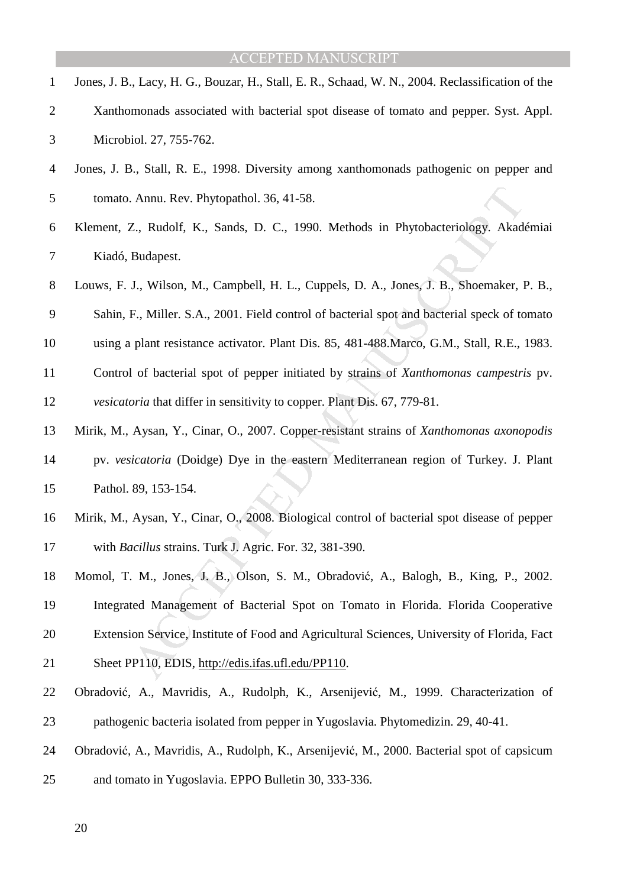- 1 Jones, J. B., Lacy, H. G., Bouzar, H., Stall, E. R., Schaad, W. N., 2004. Reclassification of the 2 Xanthomonads associated with bacterial spot disease of tomato and pepper. Syst. Appl. 3 Microbiol. 27, 755-762.
- 4 Jones, J. B., Stall, R. E., 1998. Diversity among xanthomonads pathogenic on pepper and 5 tomato. Annu. Rev. Phytopathol. 36, 41-58.
- 6 Klement, Z., Rudolf, K., Sands, D. C., 1990. Methods in Phytobacteriology. Akadémiai 7 Kiadó, Budapest.
- 8 Louws, F. J., Wilson, M., Campbell, H. L., Cuppels, D. A., Jones, J. B., Shoemaker, P. B., 9 Sahin, F., Miller. S.A., 2001. Field control of bacterial spot and bacterial speck of tomato
- 10 using a plant resistance activator. Plant Dis. 85, 481-488.Marco, G.M., Stall, R.E., 1983.
- 11 Control of bacterial spot of pepper initiated by strains of *Xanthomonas campestris* pv.
- 12 *vesicatoria* that differ in sensitivity to copper. Plant Dis. 67, 779-81.
- Annu. Rev. Phytopathol. 36, 41-58.<br>
Z., Rudolf, K., Sands, D. C., 1990. Methods in Phytobacteriology. Akad<br>
Budapest.<br>
J., Wilson, M., Campbell, H. L., Cuppels, D. A., Jones, J. B., Shoemaker, I.<br>
F., Miller. S.A., 2001. F 13 Mirik, M., Aysan, Y., Cinar, O., 2007. Copper-resistant strains of *Xanthomonas axonopodis* 14 pv. *vesicatoria* (Doidge) Dye in the eastern Mediterranean region of Turkey. J. Plant 15 Pathol. 89, 153-154.
- 16 Mirik, M., Aysan, Y., Cinar, O., 2008. Biological control of bacterial spot disease of pepper 17 with *Bacillus* strains. Turk J. Agric. For. 32, 381-390.
- 18 Momol, T. M., Jones, J. B., Olson, S. M., Obradović, A., Balogh, B., King, P., 2002.
- 19 Integrated Management of Bacterial Spot on Tomato in Florida. Florida Cooperative
- 20 Extension Service, Institute of Food and Agricultural Sciences, University of Florida, Fact
- 21 Sheet PP110, EDIS, http://edis.ifas.ufl.edu/PP110.
- 22 Obradović, A., Mavridis, A., Rudolph, K., Arsenijević, M., 1999. Characterization of 23 pathogenic bacteria isolated from pepper in Yugoslavia. Phytomedizin. 29, 40-41.
- 24 Obradović, A., Mavridis, A., Rudolph, K., Arsenijević, M., 2000. Bacterial spot of capsicum
- 25 and tomato in Yugoslavia. EPPO Bulletin 30, 333-336.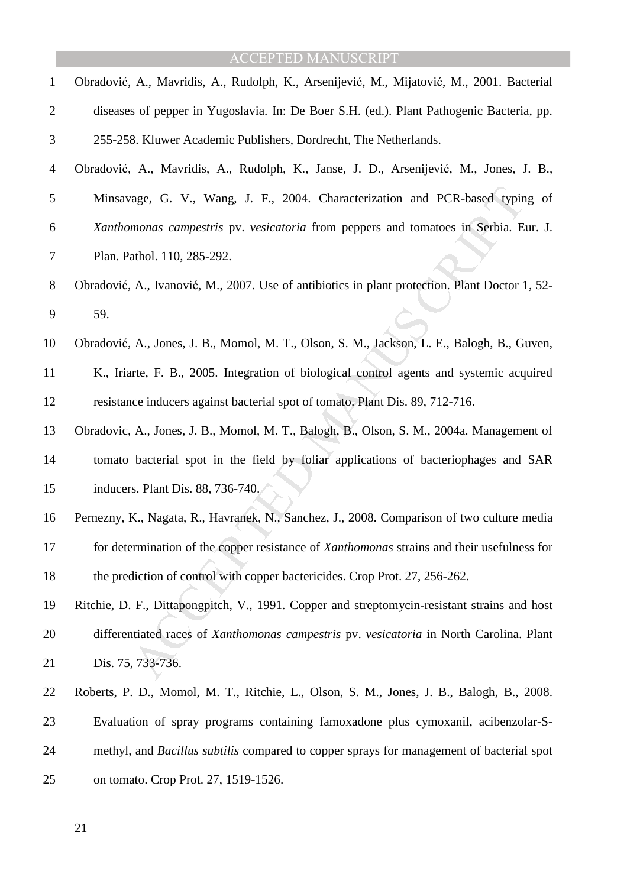| $\mathbf{1}$ | Obradović, A., Mavridis, A., Rudolph, K., Arsenijević, M., Mijatović, M., 2001. Bacterial       |
|--------------|-------------------------------------------------------------------------------------------------|
| 2            | diseases of pepper in Yugoslavia. In: De Boer S.H. (ed.). Plant Pathogenic Bacteria, pp.        |
| 3            | 255-258. Kluwer Academic Publishers, Dordrecht, The Netherlands.                                |
| 4            | Obradović, A., Mavridis, A., Rudolph, K., Janse, J. D., Arsenijević, M., Jones, J. B.,          |
| 5            | Minsavage, G. V., Wang, J. F., 2004. Characterization and PCR-based typing of                   |
| 6            | Xanthomonas campestris pv. vesicatoria from peppers and tomatoes in Serbia. Eur. J.             |
| 7            | Plan. Pathol. 110, 285-292.                                                                     |
| 8            | Obradović, A., Ivanović, M., 2007. Use of antibiotics in plant protection. Plant Doctor 1, 52-  |
| 9            | 59.                                                                                             |
| 10           | Obradović, A., Jones, J. B., Momol, M. T., Olson, S. M., Jackson, L. E., Balogh, B., Guven,     |
| 11           | K., Iriarte, F. B., 2005. Integration of biological control agents and systemic acquired        |
| 12           | resistance inducers against bacterial spot of tomato. Plant Dis. 89, 712-716.                   |
| 13           | Obradovic, A., Jones, J. B., Momol, M. T., Balogh, B., Olson, S. M., 2004a. Management of       |
| 14           | tomato bacterial spot in the field by foliar applications of bacteriophages and SAR             |
| 15           | inducers. Plant Dis. 88, 736-740.                                                               |
| 16           | Pernezny, K., Nagata, R., Havranek, N., Sanchez, J., 2008. Comparison of two culture media      |
| 17           | for determination of the copper resistance of Xanthomonas strains and their usefulness for      |
| 18           | the prediction of control with copper bactericides. Crop Prot. 27, 256-262.                     |
| 19           | Ritchie, D. F., Dittapongpitch, V., 1991. Copper and streptomycin-resistant strains and host    |
| 20           | differentiated races of Xanthomonas campestris pv. vesicatoria in North Carolina. Plant         |
| 21           | Dis. 75, 733-736.                                                                               |
| 22           | Roberts, P. D., Momol, M. T., Ritchie, L., Olson, S. M., Jones, J. B., Balogh, B., 2008.        |
| 23           | Evaluation of spray programs containing famoxadone plus cymoxanil, acibenzolar-S-               |
| 24           | methyl, and <i>Bacillus subtilis</i> compared to copper sprays for management of bacterial spot |
| 25           | on tomato. Crop Prot. 27, 1519-1526.                                                            |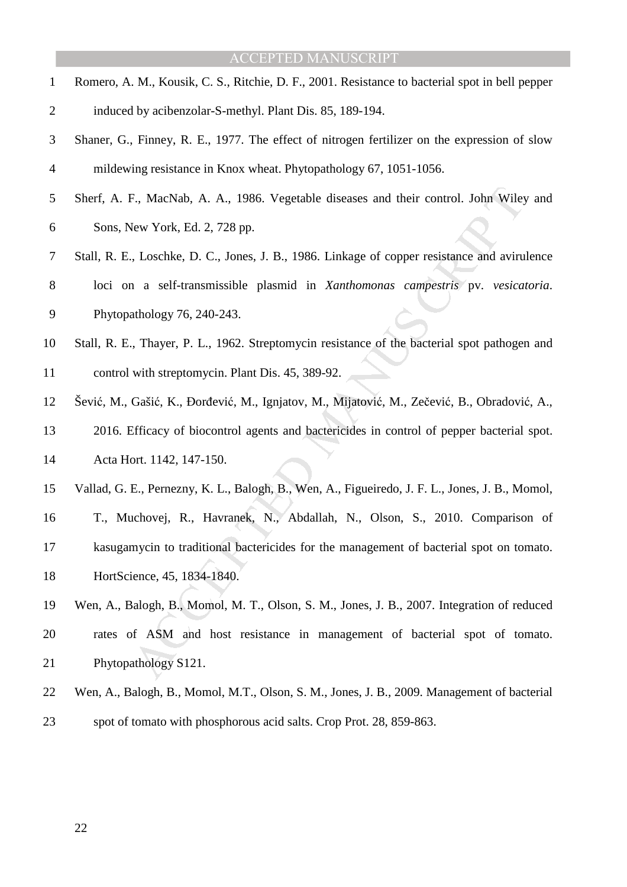- 1 Romero, A. M., Kousik, C. S., Ritchie, D. F., 2001. Resistance to bacterial spot in bell pepper 2 induced by acibenzolar-S-methyl. Plant Dis. 85, 189-194.
- 3 Shaner, G., Finney, R. E., 1977. The effect of nitrogen fertilizer on the expression of slow 4 mildewing resistance in Knox wheat. Phytopathology 67, 1051-1056.
- 5 Sherf, A. F., MacNab, A. A., 1986. Vegetable diseases and their control. John Wiley and 6 Sons, New York, Ed. 2, 728 pp.
- F., MacNab, A. A., 1986. Vegetable diseases and their control. John Wiley<br>
Hew York, Ed. 2, 728 pp.<br>
1. Loschke, D. C., Jones, J. B., 1986. Linkage of copper resistance and aviru<br>
1. a. self-transmissible plasmid in *Xanth* 7 Stall, R. E., Loschke, D. C., Jones, J. B., 1986. Linkage of copper resistance and avirulence 8 loci on a self-transmissible plasmid in *Xanthomonas campestris* pv. *vesicatoria*. 9 Phytopathology 76, 240-243.
- 10 Stall, R. E., Thayer, P. L., 1962. Streptomycin resistance of the bacterial spot pathogen and 11 control with streptomycin. Plant Dis. 45, 389-92.
- 12 Šević, M., Gašić, K., Đorđević, M., Ignjatov, M., Mijatović, M., Zečević, B., Obradović, A., 13 2016. Efficacy of biocontrol agents and bactericides in control of pepper bacterial spot. 14 Acta Hort. 1142, 147-150.
- 15 Vallad, G. E., Pernezny, K. L., Balogh, B., Wen, A., Figueiredo, J. F. L., Jones, J. B., Momol,
- 16 T., Muchovej, R., Havranek, N., Abdallah, N., Olson, S., 2010. Comparison of
- 17 kasugamycin to traditional bactericides for the management of bacterial spot on tomato.
- 18 HortScience, 45, 1834-1840.
- 19 Wen, A., Balogh, B., Momol, M. T., Olson, S. M., Jones, J. B., 2007. Integration of reduced 20 rates of ASM and host resistance in management of bacterial spot of tomato. 21 Phytopathology S121.
- 22 Wen, A., Balogh, B., Momol, M.T., Olson, S. M., Jones, J. B., 2009. Management of bacterial 23 spot of tomato with phosphorous acid salts. Crop Prot. 28, 859-863.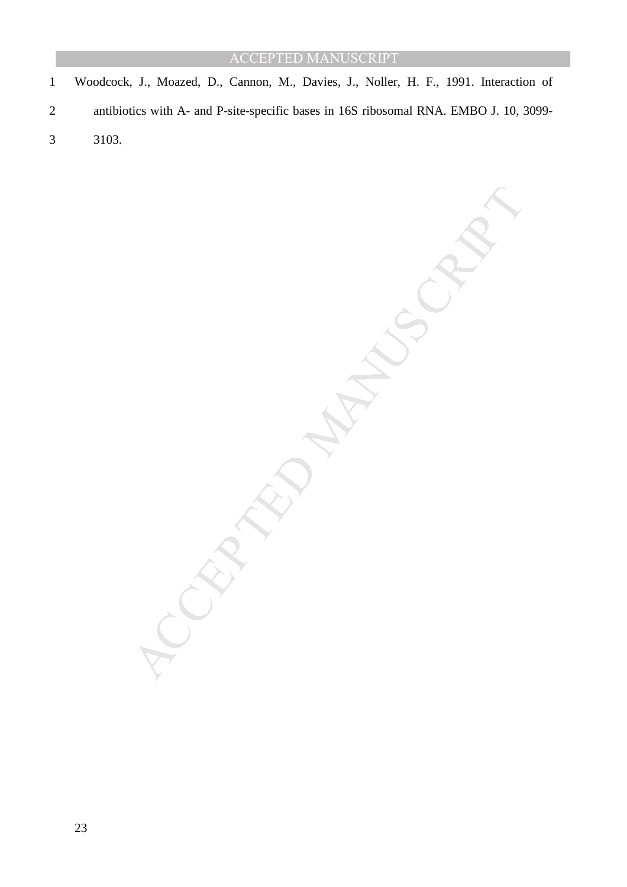1 Woodcock, J., Moazed, D., Cannon, M., Davies, J., Noller, H. F., 1991. Interaction of 2 antibiotics with A- and P-site-specific bases in 16S ribosomal RNA. EMBO J. 10, 3099- 3 3103.

MANUSCRIPT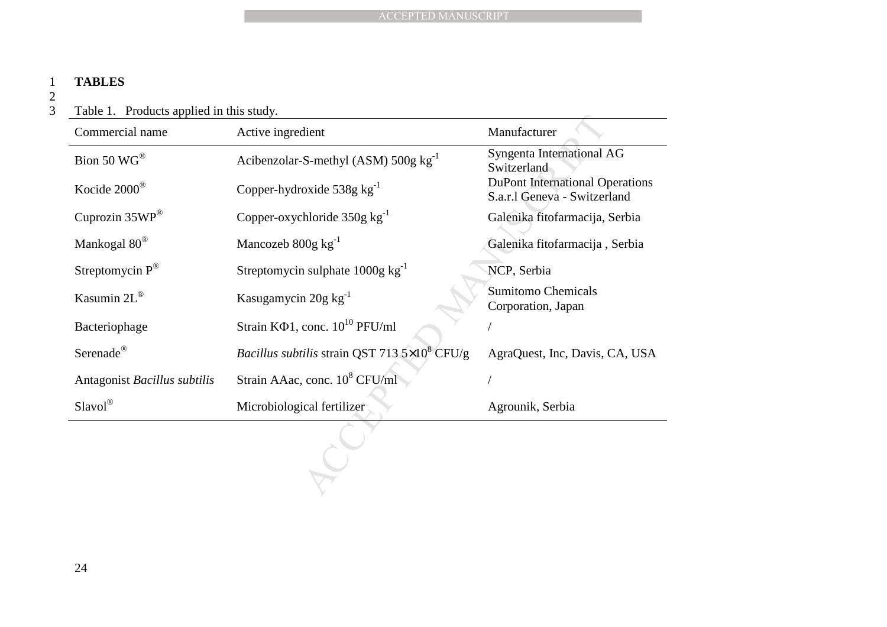### 1 **TABLES**

2  $\overline{3}$ 

3 Table 1. Products applied in this study.

|                                          | <b>ACCEPTED MANUSCRIPT</b>                           |                                                                        |
|------------------------------------------|------------------------------------------------------|------------------------------------------------------------------------|
|                                          |                                                      |                                                                        |
| <b>TABLES</b>                            |                                                      |                                                                        |
| Table 1. Products applied in this study. |                                                      |                                                                        |
| Commercial name                          | Active ingredient                                    | Manufacturer                                                           |
| Bion 50 WG®                              | Acibenzolar-S-methyl (ASM) $500g kg^{-1}$            | Syngenta International AG<br>Switzerland                               |
| Kocide 2000®                             | Copper-hydroxide 538g $kg^{-1}$                      | <b>DuPont International Operations</b><br>S.a.r.l Geneva - Switzerland |
| Cuprozin 35WP®                           | Copper-oxychloride $350g kg^{-1}$                    | Galenika fitofarmacija, Serbia                                         |
| Mankogal $80^\circledast$                | Mancozeb $800g kg^{-1}$                              | Galenika fitofarmacija, Serbia                                         |
| Streptomycin $P^{\circledR}$             | Streptomycin sulphate 1000g kg <sup>-1</sup>         | NCP, Serbia                                                            |
| Kasumin 2L®                              | Kasugamycin 20g kg <sup>-1</sup>                     | <b>Sumitomo Chemicals</b><br>Corporation, Japan                        |
| Bacteriophage                            | Strain $K\Phi$ 1, conc. $10^{10}$ PFU/ml             |                                                                        |
| Serenade®                                | Bacillus subtilis strain QST 713 $5\times10^8$ CFU/g | AgraQuest, Inc, Davis, CA, USA                                         |
| Antagonist Bacillus subtilis             | Strain AAac, conc. 10 <sup>8</sup> CFU/ml            |                                                                        |
| Slavol®                                  | Microbiological fertilizer                           | Agrounik, Serbia                                                       |
|                                          |                                                      |                                                                        |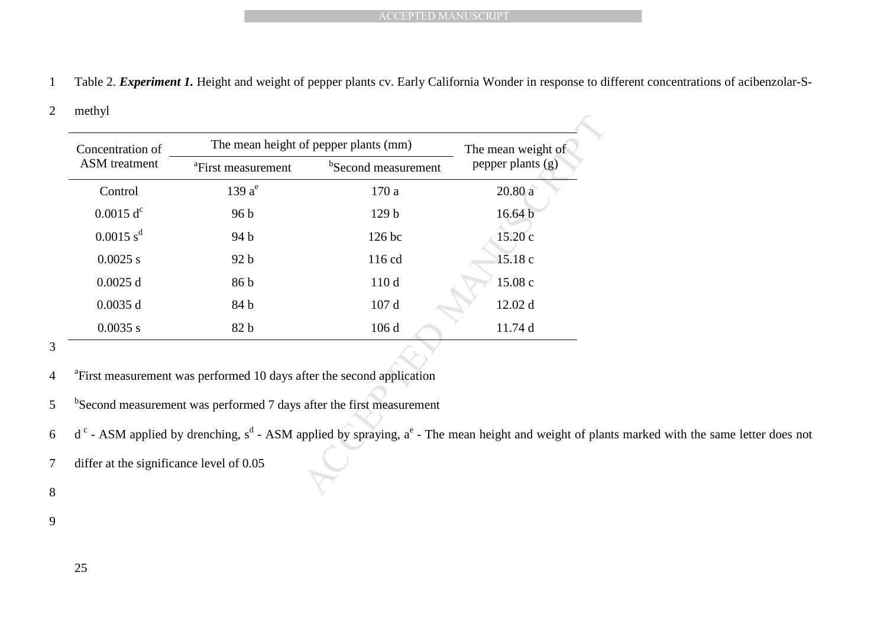1 Table 2. *Experiment 1.* Height and weight of pepper plants cv. Early California Wonder in response to different concentrations of acibenzolar-S-

#### 2 methyl

| pepper plants (g)<br><sup>b</sup> Second measurement<br><sup>a</sup> First measurement<br>$139a^e$<br>Control<br>170 a<br>20.80a<br>0.0015 d <sup>c</sup><br>16.64 b<br>96 <sub>b</sub><br>129 <sub>b</sub><br>0.0015 s <sup>d</sup><br>15.20 c<br>126 bc<br>94 b<br>15.18 c<br>$0.0025$ s<br>116 cd<br>92 b<br>15.08 c<br>110 d<br>$0.0025$ d<br>86 b<br>$0.0035$ d<br>107 d<br>12.02 d<br>84 b<br>106 d<br>0.0035 s<br>82 b<br>11.74 d | Concentration of     | The mean height of pepper plants (mm) | The mean weight of |
|------------------------------------------------------------------------------------------------------------------------------------------------------------------------------------------------------------------------------------------------------------------------------------------------------------------------------------------------------------------------------------------------------------------------------------------|----------------------|---------------------------------------|--------------------|
|                                                                                                                                                                                                                                                                                                                                                                                                                                          | <b>ASM</b> treatment |                                       |                    |
|                                                                                                                                                                                                                                                                                                                                                                                                                                          |                      |                                       |                    |
|                                                                                                                                                                                                                                                                                                                                                                                                                                          |                      |                                       |                    |
|                                                                                                                                                                                                                                                                                                                                                                                                                                          |                      |                                       |                    |
|                                                                                                                                                                                                                                                                                                                                                                                                                                          |                      |                                       |                    |
|                                                                                                                                                                                                                                                                                                                                                                                                                                          |                      |                                       |                    |
|                                                                                                                                                                                                                                                                                                                                                                                                                                          |                      |                                       |                    |
|                                                                                                                                                                                                                                                                                                                                                                                                                                          |                      |                                       |                    |
| <sup>a</sup> First measurement was performed 10 days after the second application                                                                                                                                                                                                                                                                                                                                                        |                      |                                       |                    |

3

- <sup>a</sup> First measurement was performed 10 days after the second application
- $5$   $<sup>b</sup>$  Second measurement was performed 7 days after the first measurement</sup>
- $d^c$  ASM applied by drenching,  $s^d$  ASM applied by spraying,  $a^e$  The mean height and weight of plants marked with the same letter does not
- 7 differ at the significance level of 0.05

8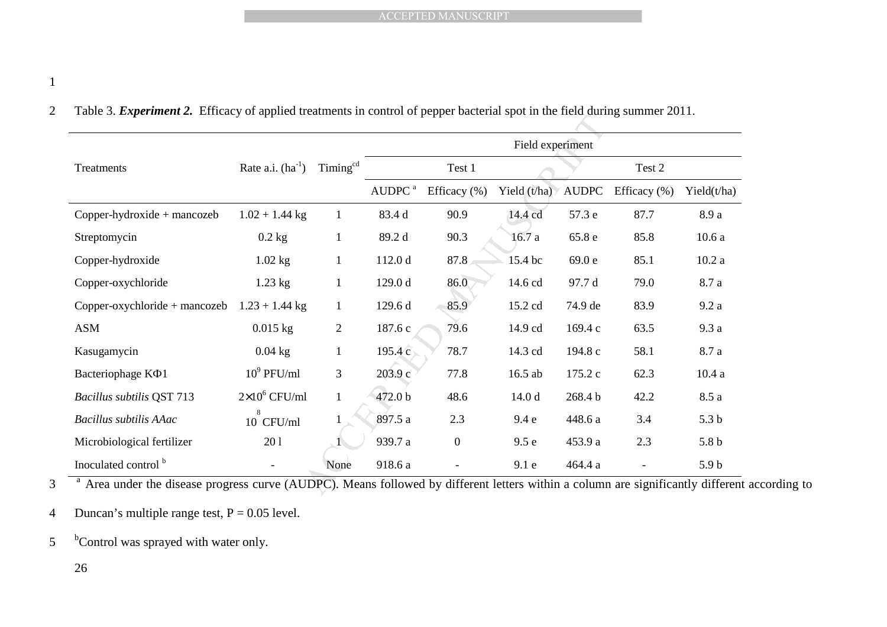| <b>ACCEPTED MANUSCRIPT</b>                                                                                                     |                       |                      |                    |                |                   |              |              |                  |  |  |
|--------------------------------------------------------------------------------------------------------------------------------|-----------------------|----------------------|--------------------|----------------|-------------------|--------------|--------------|------------------|--|--|
|                                                                                                                                |                       |                      |                    |                |                   |              |              |                  |  |  |
|                                                                                                                                |                       |                      |                    |                |                   |              |              |                  |  |  |
|                                                                                                                                |                       |                      |                    |                |                   |              |              |                  |  |  |
| Table 3. Experiment 2. Efficacy of applied treatments in control of pepper bacterial spot in the field during summer 2011.     |                       |                      |                    |                |                   |              |              |                  |  |  |
| Field experiment                                                                                                               |                       |                      |                    |                |                   |              |              |                  |  |  |
| Treatments                                                                                                                     | Rate a.i. $(ha^{-1})$ | Timing <sup>cd</sup> |                    | Test 1         |                   |              | Test 2       |                  |  |  |
|                                                                                                                                |                       |                      | AUDPC <sup>a</sup> | Efficacy (%)   | Yield $(t/ha)$    | <b>AUDPC</b> | Efficacy (%) | Yield $(t/ha)$   |  |  |
| Copper-hydroxide + mancozeb                                                                                                    | $1.02 + 1.44$ kg      | $\mathbf{1}$         | 83.4 d             | 90.9           | 14.4 cd           | 57.3 e       | 87.7         | 8.9 a            |  |  |
| Streptomycin                                                                                                                   | $0.2$ kg              | $\mathbf{1}$         | 89.2 d             | 90.3           | 16.7a             | 65.8 e       | 85.8         | 10.6a            |  |  |
| Copper-hydroxide                                                                                                               | $1.02$ kg             | $\mathbf{1}$         | 112.0 d            | 87.8           | 15.4 bc           | 69.0 e       | 85.1         | 10.2a            |  |  |
| Copper-oxychloride                                                                                                             | $1.23$ kg             | $\mathbf{1}$         | 129.0 d            | 86.0           | 14.6 cd           | 97.7 d       | 79.0         | 8.7 a            |  |  |
| Copper-oxychloride + mancozeb                                                                                                  | $1.23 + 1.44$ kg      | $\mathbf{1}$         | 129.6 d            | 85.9           | 15.2 cd           | 74.9 de      | 83.9         | 9.2a             |  |  |
| <b>ASM</b>                                                                                                                     | $0.015$ kg            | $\overline{2}$       | 187.6 c            | 79.6           | 14.9 cd           | 169.4 c      | 63.5         | 9.3a             |  |  |
| Kasugamycin                                                                                                                    | $0.04$ kg             | 1                    | 195.4c             | 78.7           | 14.3 cd           | 194.8 c      | 58.1         | 8.7 a            |  |  |
| Bacteriophage KΦ1                                                                                                              | $10^9$ PFU/ml         | 3                    | 203.9 с            | 77.8           | $16.5$ ab         | 175.2 c      | 62.3         | 10.4a            |  |  |
| <b>Bacillus subtilis QST 713</b>                                                                                               | $2\times10^6$ CFU/ml  | $\mathbf{1}$         | 472.0 b            | 48.6           | 14.0 <sub>d</sub> | 268.4 b      | 42.2         | 8.5 a            |  |  |
| Bacillus subtilis AAac                                                                                                         | 10 CFU/ml             | $\mathbf{1}$         | 897.5 a            | 2.3            | 9.4e              | 448.6 a      | 3.4          | 5.3 <sub>b</sub> |  |  |
| Microbiological fertilizer                                                                                                     | 201                   |                      | 939.7 a            | $\overline{0}$ | 9.5e              | 453.9 a      | 2.3          | 5.8 <sub>b</sub> |  |  |
| Inoculated control b                                                                                                           |                       | None                 | 918.6 a            |                | 9.1 e             | 464.4 a      |              | 5.9 <sub>b</sub> |  |  |
| Area under the disease progress curve (AUDPC). Means followed by different letters within a column are significantly different |                       |                      |                    |                |                   |              |              |                  |  |  |

<sup>a</sup> Area under the disease progress curve (AUDPC). Means followed by different letters within a column are significantly different according to

4 Duncan's multiple range test,  $P = 0.05$  level.

 $5$  <sup>b</sup> Control was sprayed with water only.

26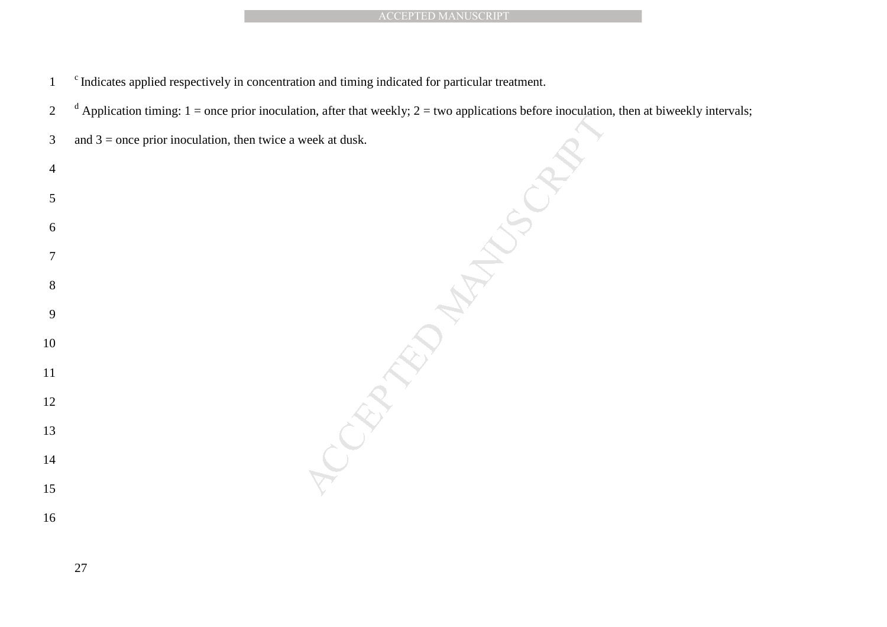- <sup>c</sup> Indicates applied respectively in concentration and timing indicated for particular treatment.
- <sup>d</sup> Application timing: 1 = once prior inoculation, after that weekly; 2 = two applications before inoculation, then at biweekly intervals;
- 3 and 3 = once prior inoculation, then twice a week at dusk.

MANUSCRIPT<br>
ing indicated for particular treatment.<br>
that weekly; 2 = two applications before in<br>
dusk.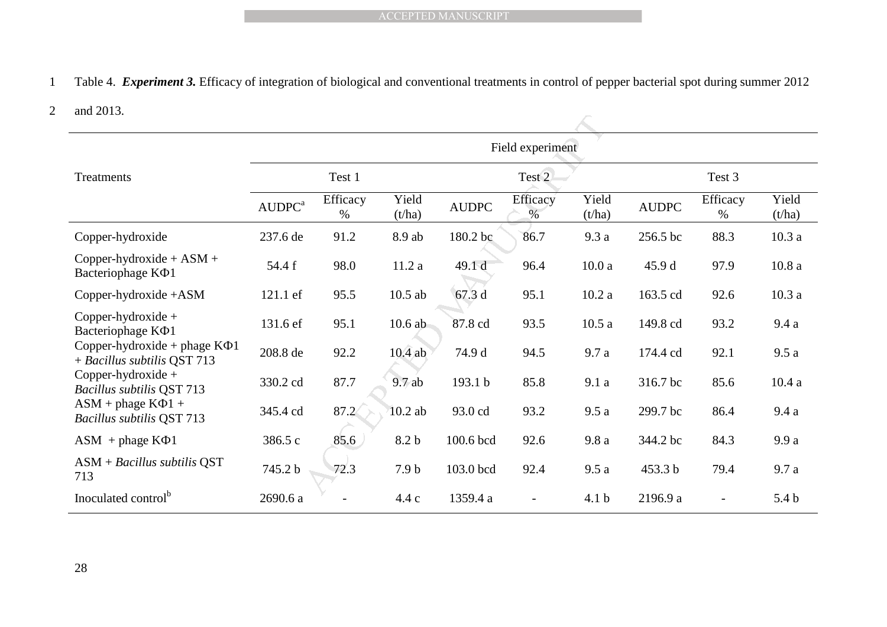#### 2 and 2013.

|                                                                                                                                                 |                    |                  |                  | <b>ACCEPTED MANUSCRIPT</b> |                          |                  |              |                          |                  |
|-------------------------------------------------------------------------------------------------------------------------------------------------|--------------------|------------------|------------------|----------------------------|--------------------------|------------------|--------------|--------------------------|------------------|
|                                                                                                                                                 |                    |                  |                  |                            |                          |                  |              |                          |                  |
| Table 4. Experiment 3. Efficacy of integration of biological and conventional treatments in control of pepper bacterial spot during summer 2012 |                    |                  |                  |                            |                          |                  |              |                          |                  |
| and 2013.                                                                                                                                       |                    |                  |                  |                            |                          |                  |              |                          |                  |
|                                                                                                                                                 |                    |                  |                  |                            | Field experiment         |                  |              |                          |                  |
| Treatments                                                                                                                                      |                    | Test 1           |                  |                            | Test 2                   |                  |              | Test 3                   |                  |
|                                                                                                                                                 | AUDPC <sup>a</sup> | Efficacy<br>$\%$ | Yield<br>(t/ha)  | <b>AUDPC</b>               | Efficacy<br>$\%$         | Yield<br>(t/ha)  | <b>AUDPC</b> | Efficacy<br>%            | Yield<br>(t/ha)  |
| Copper-hydroxide                                                                                                                                | 237.6 de           | 91.2             | 8.9 ab           | 180.2 bc                   | 86.7                     | 9.3 a            | 256.5 bc     | 88.3                     | 10.3a            |
| Copper-hydroxide + $ASM +$<br>Bacteriophage K $\Phi$ 1                                                                                          | 54.4 f             | 98.0             | 11.2a            | 49.1 d                     | 96.4                     | 10.0a            | 45.9 d       | 97.9                     | 10.8a            |
| Copper-hydroxide +ASM                                                                                                                           | 121.1 ef           | 95.5             | $10.5$ ab        | 67.3 d                     | 95.1                     | 10.2a            | 163.5 cd     | 92.6                     | 10.3a            |
| Copper-hydroxide +<br>Bacteriophage K $\Phi$ 1                                                                                                  | 131.6 ef           | 95.1             | $10.6$ ab        | 87.8 cd                    | 93.5                     | 10.5a            | 149.8 cd     | 93.2                     | 9.4a             |
| Copper-hydroxide + phage $K\Phi$ 1<br>+ Bacillus subtilis QST 713                                                                               | 208.8 de           | 92.2             | $10.4$ ab        | 74.9 d                     | 94.5                     | 9.7 a            | 174.4 cd     | 92.1                     | 9.5a             |
| Copper-hydroxide +<br><b>Bacillus subtilis QST 713</b>                                                                                          | 330.2 cd           | 87.7             | 9.7ab            | 193.1 b                    | 85.8                     | 9.1a             | 316.7 bc     | 85.6                     | 10.4a            |
| $ASM + phase K\Phi1 +$<br><b>Bacillus subtilis QST 713</b>                                                                                      | 345.4 cd           | 87.2             | $10.2$ ab        | 93.0 cd                    | 93.2                     | 9.5a             | 299.7 bc     | 86.4                     | 9.4a             |
| $ASM + phase K\Phi1$                                                                                                                            | 386.5 c            | 85.6             | 8.2 b            | 100.6 bcd                  | 92.6                     | 9.8 a            | 344.2 bc     | 84.3                     | 9.9a             |
| $ASM + Bacillus$ subtilis QST<br>713                                                                                                            | 745.2 b            | 72.3             | 7.9 <sub>b</sub> | 103.0 bcd                  | 92.4                     | 9.5a             | 453.3 b      | 79.4                     | 9.7 a            |
| Inoculated control <sup>b</sup>                                                                                                                 | 2690.6 a           |                  | 4.4c             | 1359.4 a                   | $\overline{\phantom{a}}$ | 4.1 <sub>b</sub> | 2196.9 a     | $\overline{\phantom{a}}$ | 5.4 <sub>b</sub> |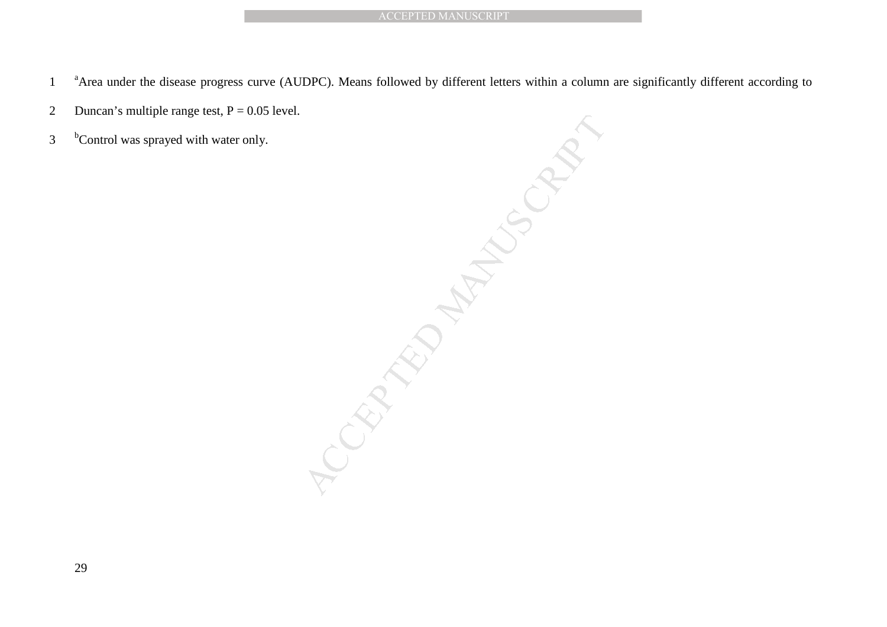- <sup>a</sup> Area under the disease progress curve (AUDPC). Means followed by different letters within a column are significantly different according to
- 2 Duncan's multiple range test,  $P = 0.05$  level.
- $3$  <sup>b</sup> Control was sprayed with water only.

ACCEPTED MANUSCRIPT<br>
Means followed by different letters within a column<br>
Accepted by different letters within a column<br>
Accepted by the stress within a column<br>
Accepted by the stress within a column<br>
Accepted by the stres